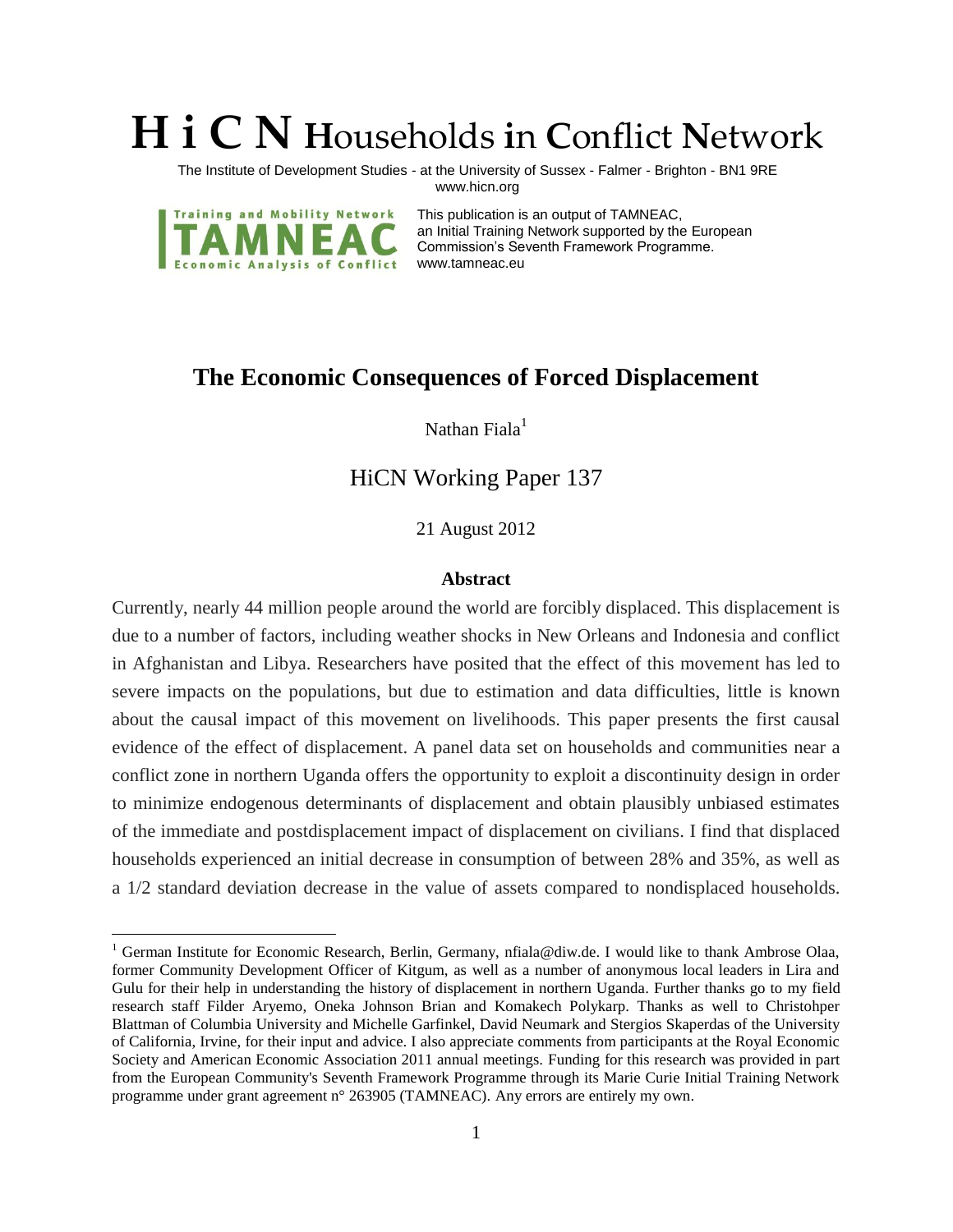# **H i C N H**ouseholds **i**n **C**onflict **N**etwork

The Institute of Development Studies - at the University of Sussex - Falmer - Brighton - BN1 9RE www.hicn.org



 $\overline{a}$ 

This publication is an output of TAMNEAC, an Initial Training Network supported by the European Commission's Seventh Framework Programme. www.tamneac.eu

# **The Economic Consequences of Forced Displacement**

Nathan  $Finala<sup>1</sup>$ 

# HiCN Working Paper 137

21 August 2012

#### **Abstract**

Currently, nearly 44 million people around the world are forcibly displaced. This displacement is due to a number of factors, including weather shocks in New Orleans and Indonesia and conflict in Afghanistan and Libya. Researchers have posited that the effect of this movement has led to severe impacts on the populations, but due to estimation and data difficulties, little is known about the causal impact of this movement on livelihoods. This paper presents the first causal evidence of the effect of displacement. A panel data set on households and communities near a conflict zone in northern Uganda offers the opportunity to exploit a discontinuity design in order to minimize endogenous determinants of displacement and obtain plausibly unbiased estimates of the immediate and postdisplacement impact of displacement on civilians. I find that displaced households experienced an initial decrease in consumption of between 28% and 35%, as well as a 1/2 standard deviation decrease in the value of assets compared to nondisplaced households.

<sup>&</sup>lt;sup>1</sup> German Institute for Economic Research, Berlin, Germany, nfiala@diw.de. I would like to thank Ambrose Olaa, former Community Development Officer of Kitgum, as well as a number of anonymous local leaders in Lira and Gulu for their help in understanding the history of displacement in northern Uganda. Further thanks go to my field research staff Filder Aryemo, Oneka Johnson Brian and Komakech Polykarp. Thanks as well to Christohper Blattman of Columbia University and Michelle Garfinkel, David Neumark and Stergios Skaperdas of the University of California, Irvine, for their input and advice. I also appreciate comments from participants at the Royal Economic Society and American Economic Association 2011 annual meetings. Funding for this research was provided in part from the European Community's Seventh Framework Programme through its Marie Curie Initial Training Network programme under grant agreement n° 263905 (TAMNEAC). Any errors are entirely my own.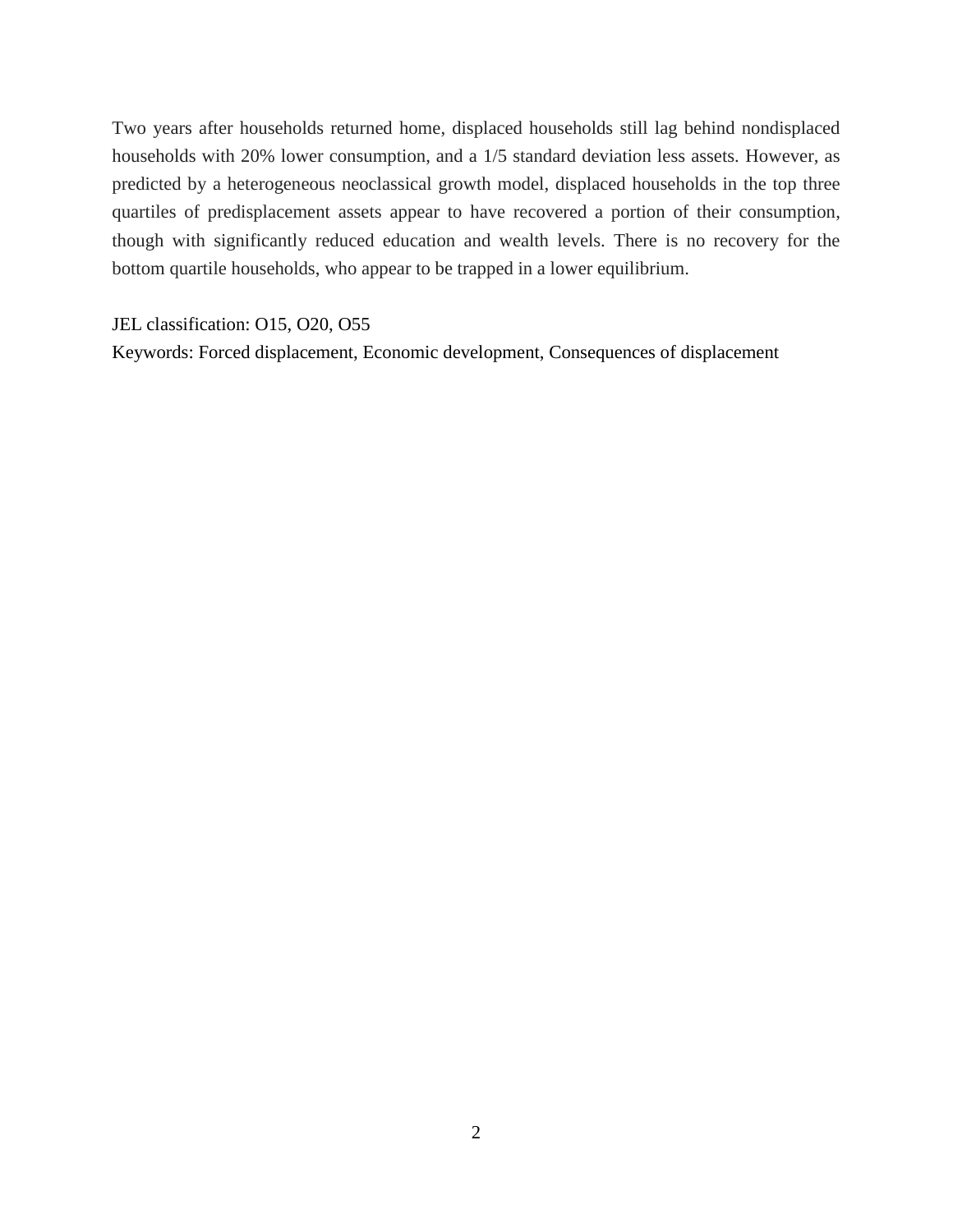Two years after households returned home, displaced households still lag behind nondisplaced households with 20% lower consumption, and a 1/5 standard deviation less assets. However, as predicted by a heterogeneous neoclassical growth model, displaced households in the top three quartiles of predisplacement assets appear to have recovered a portion of their consumption, though with significantly reduced education and wealth levels. There is no recovery for the bottom quartile households, who appear to be trapped in a lower equilibrium.

JEL classification: O15, O20, O55

Keywords: Forced displacement, Economic development, Consequences of displacement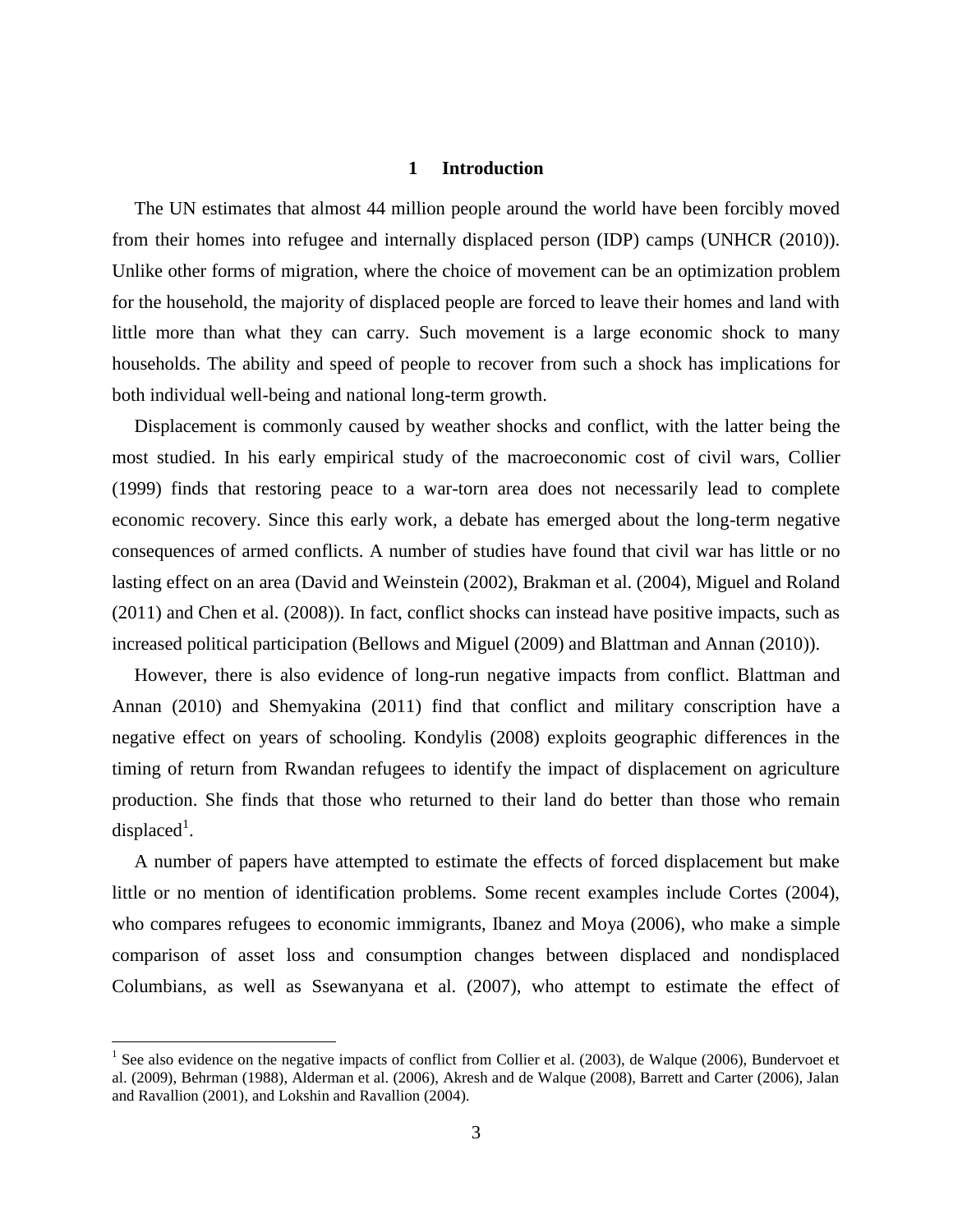# **1 Introduction**

The UN estimates that almost 44 million people around the world have been forcibly moved from their homes into refugee and internally displaced person (IDP) camps (UNHCR (2010)). Unlike other forms of migration, where the choice of movement can be an optimization problem for the household, the majority of displaced people are forced to leave their homes and land with little more than what they can carry. Such movement is a large economic shock to many households. The ability and speed of people to recover from such a shock has implications for both individual well-being and national long-term growth.

Displacement is commonly caused by weather shocks and conflict, with the latter being the most studied. In his early empirical study of the macroeconomic cost of civil wars, Collier (1999) finds that restoring peace to a war-torn area does not necessarily lead to complete economic recovery. Since this early work, a debate has emerged about the long-term negative consequences of armed conflicts. A number of studies have found that civil war has little or no lasting effect on an area (David and Weinstein (2002), Brakman et al. (2004), Miguel and Roland (2011) and Chen et al. (2008)). In fact, conflict shocks can instead have positive impacts, such as increased political participation (Bellows and Miguel (2009) and Blattman and Annan (2010)).

However, there is also evidence of long-run negative impacts from conflict. Blattman and Annan (2010) and Shemyakina (2011) find that conflict and military conscription have a negative effect on years of schooling. Kondylis (2008) exploits geographic differences in the timing of return from Rwandan refugees to identify the impact of displacement on agriculture production. She finds that those who returned to their land do better than those who remain displaced<sup>1</sup>.

A number of papers have attempted to estimate the effects of forced displacement but make little or no mention of identification problems. Some recent examples include Cortes (2004), who compares refugees to economic immigrants, Ibanez and Moya (2006), who make a simple comparison of asset loss and consumption changes between displaced and nondisplaced Columbians, as well as Ssewanyana et al. (2007), who attempt to estimate the effect of

 $\overline{a}$ 

<sup>&</sup>lt;sup>1</sup> See also evidence on the negative impacts of conflict from Collier et al. (2003), de Walque (2006), Bundervoet et al. (2009), Behrman (1988), Alderman et al. (2006), Akresh and de Walque (2008), Barrett and Carter (2006), Jalan and Ravallion (2001), and Lokshin and Ravallion (2004).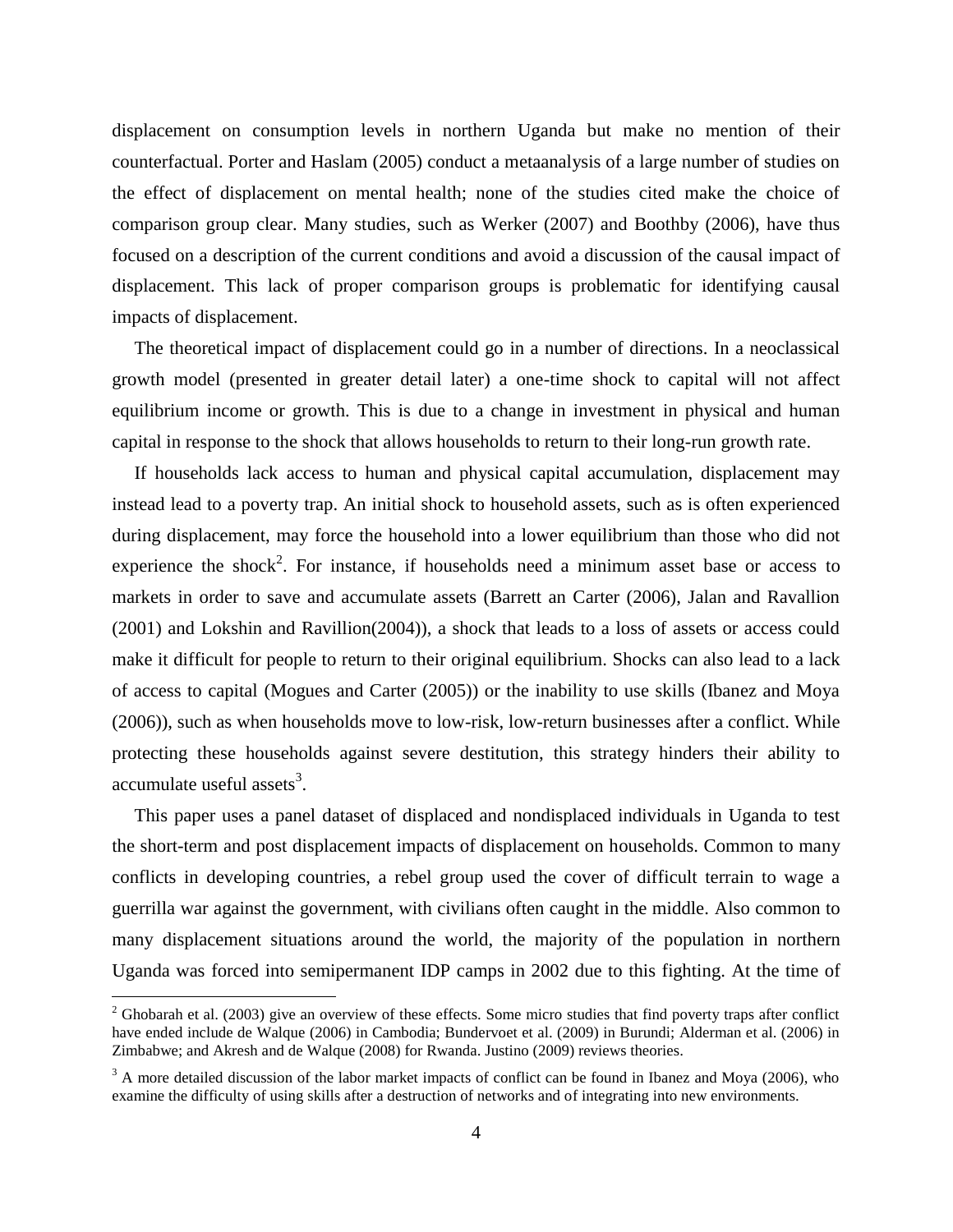displacement on consumption levels in northern Uganda but make no mention of their counterfactual. Porter and Haslam (2005) conduct a metaanalysis of a large number of studies on the effect of displacement on mental health; none of the studies cited make the choice of comparison group clear. Many studies, such as Werker (2007) and Boothby (2006), have thus focused on a description of the current conditions and avoid a discussion of the causal impact of displacement. This lack of proper comparison groups is problematic for identifying causal impacts of displacement.

The theoretical impact of displacement could go in a number of directions. In a neoclassical growth model (presented in greater detail later) a one-time shock to capital will not affect equilibrium income or growth. This is due to a change in investment in physical and human capital in response to the shock that allows households to return to their long-run growth rate.

If households lack access to human and physical capital accumulation, displacement may instead lead to a poverty trap. An initial shock to household assets, such as is often experienced during displacement, may force the household into a lower equilibrium than those who did not experience the shock<sup>2</sup>. For instance, if households need a minimum asset base or access to markets in order to save and accumulate assets (Barrett an Carter (2006), Jalan and Ravallion (2001) and Lokshin and Ravillion(2004)), a shock that leads to a loss of assets or access could make it difficult for people to return to their original equilibrium. Shocks can also lead to a lack of access to capital (Mogues and Carter (2005)) or the inability to use skills (Ibanez and Moya (2006)), such as when households move to low-risk, low-return businesses after a conflict. While protecting these households against severe destitution, this strategy hinders their ability to accumulate useful assets<sup>3</sup>.

This paper uses a panel dataset of displaced and nondisplaced individuals in Uganda to test the short-term and post displacement impacts of displacement on households. Common to many conflicts in developing countries, a rebel group used the cover of difficult terrain to wage a guerrilla war against the government, with civilians often caught in the middle. Also common to many displacement situations around the world, the majority of the population in northern Uganda was forced into semipermanent IDP camps in 2002 due to this fighting. At the time of

 $\overline{a}$ 

 $2$  Ghobarah et al. (2003) give an overview of these effects. Some micro studies that find poverty traps after conflict have ended include de Walque (2006) in Cambodia; Bundervoet et al. (2009) in Burundi; Alderman et al. (2006) in Zimbabwe; and Akresh and de Walque (2008) for Rwanda. Justino (2009) reviews theories.

 $3$  A more detailed discussion of the labor market impacts of conflict can be found in Ibanez and Moya (2006), who examine the difficulty of using skills after a destruction of networks and of integrating into new environments.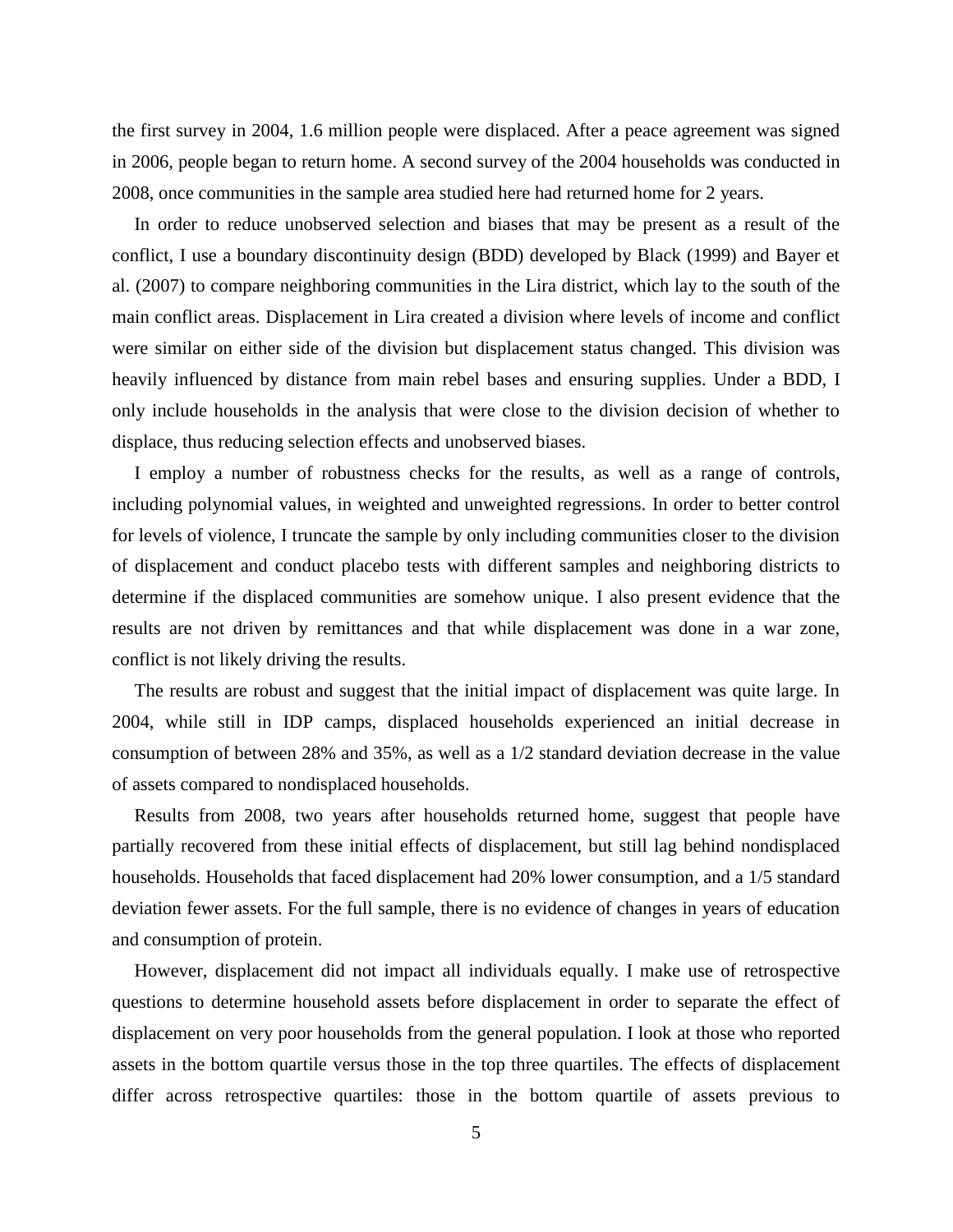the first survey in 2004, 1.6 million people were displaced. After a peace agreement was signed in 2006, people began to return home. A second survey of the 2004 households was conducted in 2008, once communities in the sample area studied here had returned home for 2 years.

In order to reduce unobserved selection and biases that may be present as a result of the conflict, I use a boundary discontinuity design (BDD) developed by Black (1999) and Bayer et al. (2007) to compare neighboring communities in the Lira district, which lay to the south of the main conflict areas. Displacement in Lira created a division where levels of income and conflict were similar on either side of the division but displacement status changed. This division was heavily influenced by distance from main rebel bases and ensuring supplies. Under a BDD, I only include households in the analysis that were close to the division decision of whether to displace, thus reducing selection effects and unobserved biases.

I employ a number of robustness checks for the results, as well as a range of controls, including polynomial values, in weighted and unweighted regressions. In order to better control for levels of violence, I truncate the sample by only including communities closer to the division of displacement and conduct placebo tests with different samples and neighboring districts to determine if the displaced communities are somehow unique. I also present evidence that the results are not driven by remittances and that while displacement was done in a war zone, conflict is not likely driving the results.

The results are robust and suggest that the initial impact of displacement was quite large. In 2004, while still in IDP camps, displaced households experienced an initial decrease in consumption of between 28% and 35%, as well as a 1/2 standard deviation decrease in the value of assets compared to nondisplaced households.

Results from 2008, two years after households returned home, suggest that people have partially recovered from these initial effects of displacement, but still lag behind nondisplaced households. Households that faced displacement had 20% lower consumption, and a 1/5 standard deviation fewer assets. For the full sample, there is no evidence of changes in years of education and consumption of protein.

However, displacement did not impact all individuals equally. I make use of retrospective questions to determine household assets before displacement in order to separate the effect of displacement on very poor households from the general population. I look at those who reported assets in the bottom quartile versus those in the top three quartiles. The effects of displacement differ across retrospective quartiles: those in the bottom quartile of assets previous to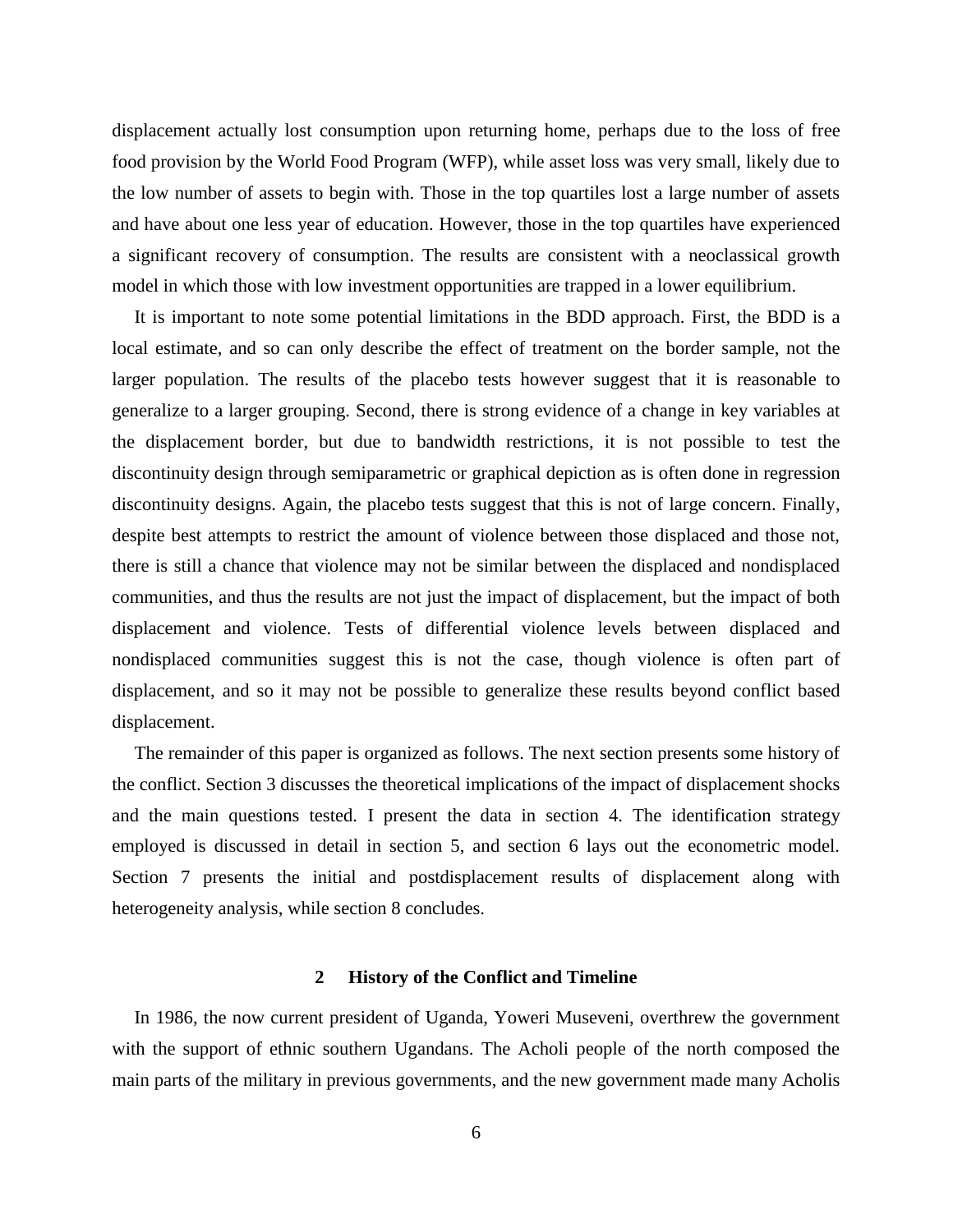displacement actually lost consumption upon returning home, perhaps due to the loss of free food provision by the World Food Program (WFP), while asset loss was very small, likely due to the low number of assets to begin with. Those in the top quartiles lost a large number of assets and have about one less year of education. However, those in the top quartiles have experienced a significant recovery of consumption. The results are consistent with a neoclassical growth model in which those with low investment opportunities are trapped in a lower equilibrium.

It is important to note some potential limitations in the BDD approach. First, the BDD is a local estimate, and so can only describe the effect of treatment on the border sample, not the larger population. The results of the placebo tests however suggest that it is reasonable to generalize to a larger grouping. Second, there is strong evidence of a change in key variables at the displacement border, but due to bandwidth restrictions, it is not possible to test the discontinuity design through semiparametric or graphical depiction as is often done in regression discontinuity designs. Again, the placebo tests suggest that this is not of large concern. Finally, despite best attempts to restrict the amount of violence between those displaced and those not, there is still a chance that violence may not be similar between the displaced and nondisplaced communities, and thus the results are not just the impact of displacement, but the impact of both displacement and violence. Tests of differential violence levels between displaced and nondisplaced communities suggest this is not the case, though violence is often part of displacement, and so it may not be possible to generalize these results beyond conflict based displacement.

The remainder of this paper is organized as follows. The next section presents some history of the conflict. Section 3 discusses the theoretical implications of the impact of displacement shocks and the main questions tested. I present the data in section 4. The identification strategy employed is discussed in detail in section 5, and section 6 lays out the econometric model. Section 7 presents the initial and postdisplacement results of displacement along with heterogeneity analysis, while section 8 concludes.

# **2 History of the Conflict and Timeline**

In 1986, the now current president of Uganda, Yoweri Museveni, overthrew the government with the support of ethnic southern Ugandans. The Acholi people of the north composed the main parts of the military in previous governments, and the new government made many Acholis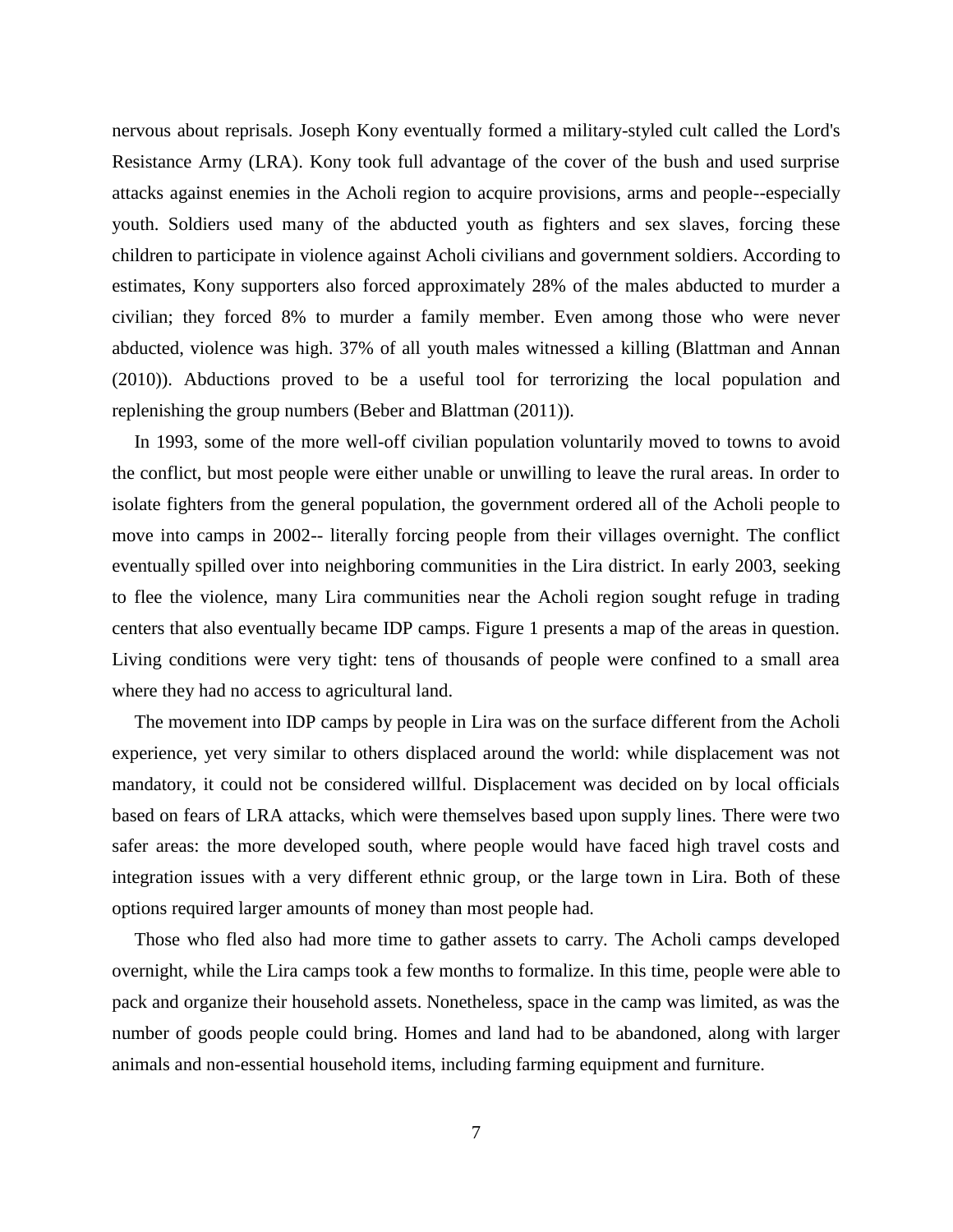nervous about reprisals. Joseph Kony eventually formed a military-styled cult called the Lord's Resistance Army (LRA). Kony took full advantage of the cover of the bush and used surprise attacks against enemies in the Acholi region to acquire provisions, arms and people--especially youth. Soldiers used many of the abducted youth as fighters and sex slaves, forcing these children to participate in violence against Acholi civilians and government soldiers. According to estimates, Kony supporters also forced approximately 28% of the males abducted to murder a civilian; they forced 8% to murder a family member. Even among those who were never abducted, violence was high. 37% of all youth males witnessed a killing (Blattman and Annan (2010)). Abductions proved to be a useful tool for terrorizing the local population and replenishing the group numbers (Beber and Blattman (2011)).

In 1993, some of the more well-off civilian population voluntarily moved to towns to avoid the conflict, but most people were either unable or unwilling to leave the rural areas. In order to isolate fighters from the general population, the government ordered all of the Acholi people to move into camps in 2002-- literally forcing people from their villages overnight. The conflict eventually spilled over into neighboring communities in the Lira district. In early 2003, seeking to flee the violence, many Lira communities near the Acholi region sought refuge in trading centers that also eventually became IDP camps. Figure 1 presents a map of the areas in question. Living conditions were very tight: tens of thousands of people were confined to a small area where they had no access to agricultural land.

The movement into IDP camps by people in Lira was on the surface different from the Acholi experience, yet very similar to others displaced around the world: while displacement was not mandatory, it could not be considered willful. Displacement was decided on by local officials based on fears of LRA attacks, which were themselves based upon supply lines. There were two safer areas: the more developed south, where people would have faced high travel costs and integration issues with a very different ethnic group, or the large town in Lira. Both of these options required larger amounts of money than most people had.

Those who fled also had more time to gather assets to carry. The Acholi camps developed overnight, while the Lira camps took a few months to formalize. In this time, people were able to pack and organize their household assets. Nonetheless, space in the camp was limited, as was the number of goods people could bring. Homes and land had to be abandoned, along with larger animals and non-essential household items, including farming equipment and furniture.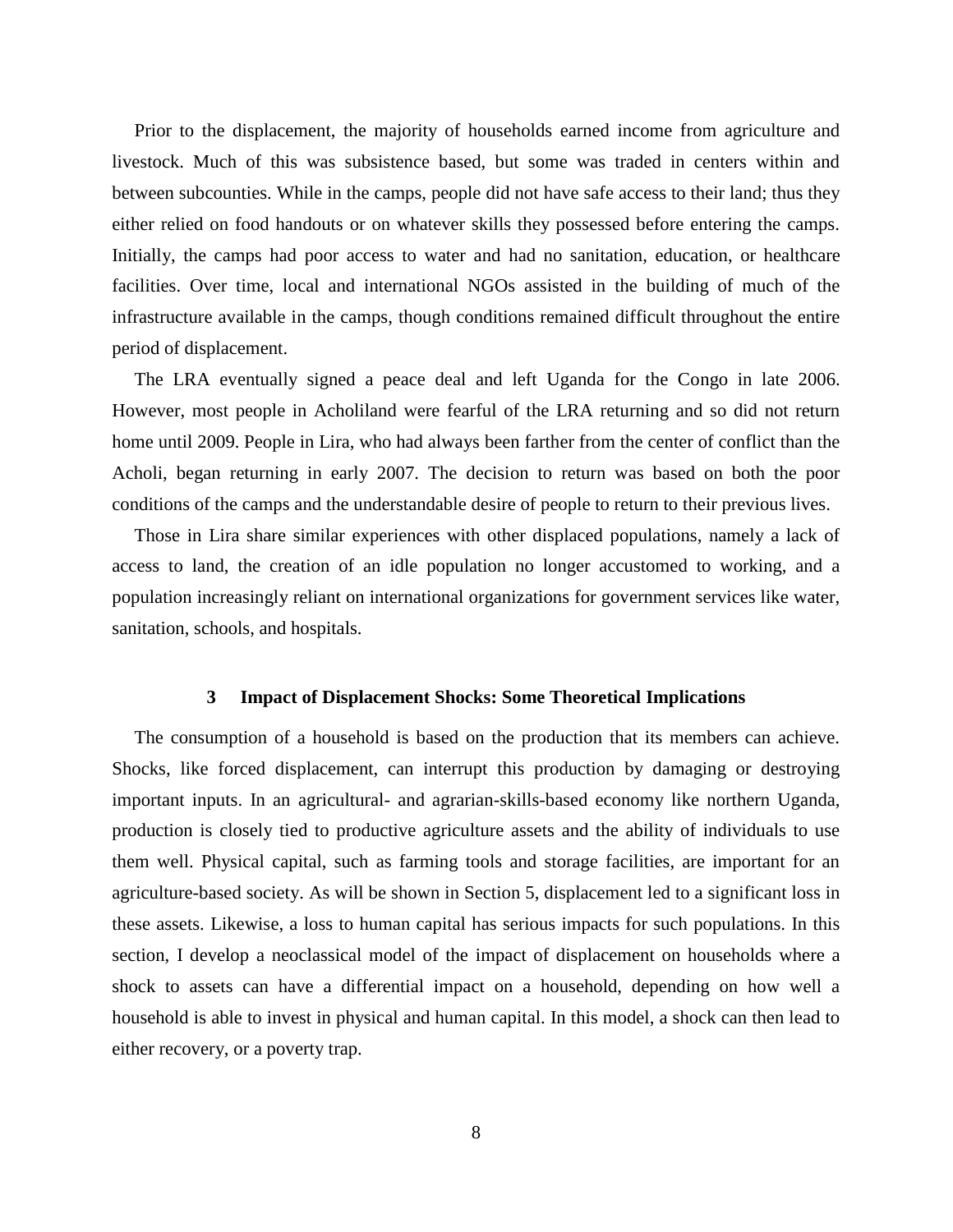Prior to the displacement, the majority of households earned income from agriculture and livestock. Much of this was subsistence based, but some was traded in centers within and between subcounties. While in the camps, people did not have safe access to their land; thus they either relied on food handouts or on whatever skills they possessed before entering the camps. Initially, the camps had poor access to water and had no sanitation, education, or healthcare facilities. Over time, local and international NGOs assisted in the building of much of the infrastructure available in the camps, though conditions remained difficult throughout the entire period of displacement.

The LRA eventually signed a peace deal and left Uganda for the Congo in late 2006. However, most people in Acholiland were fearful of the LRA returning and so did not return home until 2009. People in Lira, who had always been farther from the center of conflict than the Acholi, began returning in early 2007. The decision to return was based on both the poor conditions of the camps and the understandable desire of people to return to their previous lives.

Those in Lira share similar experiences with other displaced populations, namely a lack of access to land, the creation of an idle population no longer accustomed to working, and a population increasingly reliant on international organizations for government services like water, sanitation, schools, and hospitals.

## **3 Impact of Displacement Shocks: Some Theoretical Implications**

The consumption of a household is based on the production that its members can achieve. Shocks, like forced displacement, can interrupt this production by damaging or destroying important inputs. In an agricultural- and agrarian-skills-based economy like northern Uganda, production is closely tied to productive agriculture assets and the ability of individuals to use them well. Physical capital, such as farming tools and storage facilities, are important for an agriculture-based society. As will be shown in Section 5, displacement led to a significant loss in these assets. Likewise, a loss to human capital has serious impacts for such populations. In this section, I develop a neoclassical model of the impact of displacement on households where a shock to assets can have a differential impact on a household, depending on how well a household is able to invest in physical and human capital. In this model, a shock can then lead to either recovery, or a poverty trap.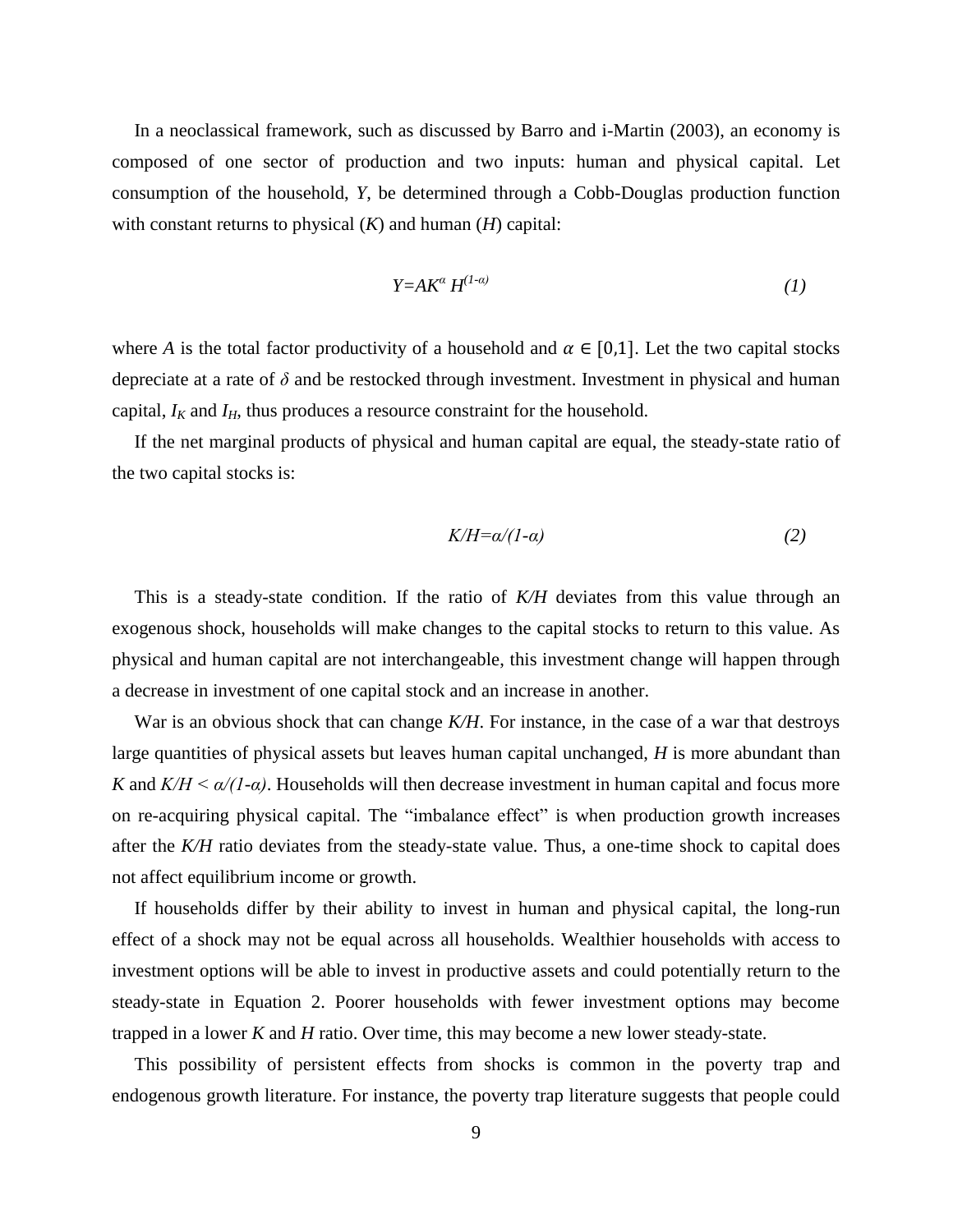In a neoclassical framework, such as discussed by Barro and i-Martin (2003), an economy is composed of one sector of production and two inputs: human and physical capital. Let consumption of the household, *Y*, be determined through a Cobb-Douglas production function with constant returns to physical (*K*) and human (*H*) capital:

$$
Y = AK^{\alpha} H^{(1-\alpha)} \tag{1}
$$

where *A* is the total factor productivity of a household and  $\alpha \in [0,1]$ . Let the two capital stocks depreciate at a rate of *δ* and be restocked through investment. Investment in physical and human capital,  $I_K$  and  $I_H$ , thus produces a resource constraint for the household.

If the net marginal products of physical and human capital are equal, the steady-state ratio of the two capital stocks is:

$$
K/H = \alpha/(1-\alpha) \tag{2}
$$

This is a steady-state condition. If the ratio of *K/H* deviates from this value through an exogenous shock, households will make changes to the capital stocks to return to this value. As physical and human capital are not interchangeable, this investment change will happen through a decrease in investment of one capital stock and an increase in another.

War is an obvious shock that can change *K/H*. For instance, in the case of a war that destroys large quantities of physical assets but leaves human capital unchanged, *H* is more abundant than *K* and  $K/H \le \alpha/(1-\alpha)$ . Households will then decrease investment in human capital and focus more on re-acquiring physical capital. The "imbalance effect" is when production growth increases after the *K/H* ratio deviates from the steady-state value. Thus, a one-time shock to capital does not affect equilibrium income or growth.

If households differ by their ability to invest in human and physical capital, the long-run effect of a shock may not be equal across all households. Wealthier households with access to investment options will be able to invest in productive assets and could potentially return to the steady-state in Equation 2. Poorer households with fewer investment options may become trapped in a lower *K* and *H* ratio. Over time, this may become a new lower steady-state.

This possibility of persistent effects from shocks is common in the poverty trap and endogenous growth literature. For instance, the poverty trap literature suggests that people could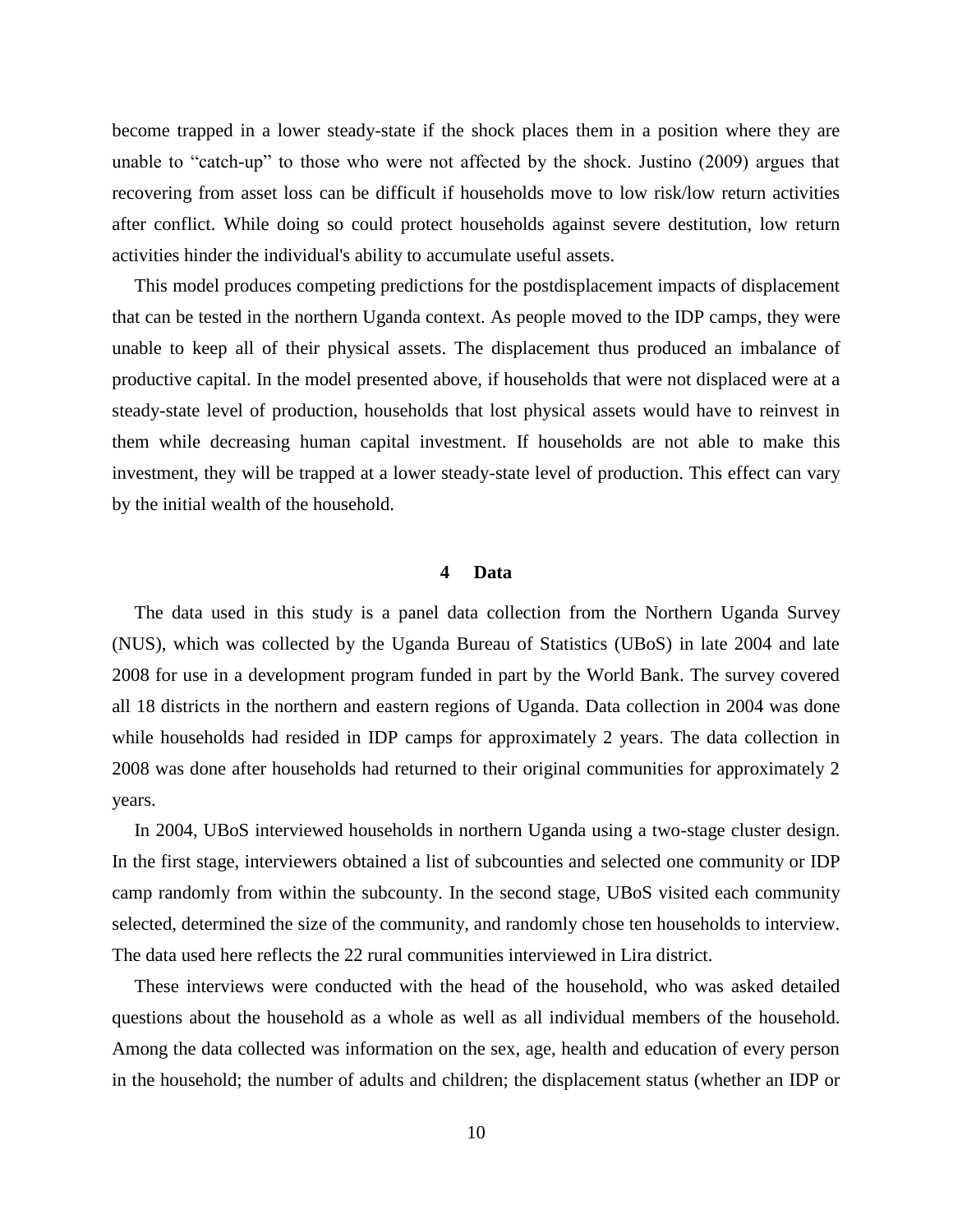become trapped in a lower steady-state if the shock places them in a position where they are unable to "catch-up" to those who were not affected by the shock. Justino (2009) argues that recovering from asset loss can be difficult if households move to low risk/low return activities after conflict. While doing so could protect households against severe destitution, low return activities hinder the individual's ability to accumulate useful assets.

This model produces competing predictions for the postdisplacement impacts of displacement that can be tested in the northern Uganda context. As people moved to the IDP camps, they were unable to keep all of their physical assets. The displacement thus produced an imbalance of productive capital. In the model presented above, if households that were not displaced were at a steady-state level of production, households that lost physical assets would have to reinvest in them while decreasing human capital investment. If households are not able to make this investment, they will be trapped at a lower steady-state level of production. This effect can vary by the initial wealth of the household.

#### **4 Data**

The data used in this study is a panel data collection from the Northern Uganda Survey (NUS), which was collected by the Uganda Bureau of Statistics (UBoS) in late 2004 and late 2008 for use in a development program funded in part by the World Bank. The survey covered all 18 districts in the northern and eastern regions of Uganda. Data collection in 2004 was done while households had resided in IDP camps for approximately 2 years. The data collection in 2008 was done after households had returned to their original communities for approximately 2 years.

In 2004, UBoS interviewed households in northern Uganda using a two-stage cluster design. In the first stage, interviewers obtained a list of subcounties and selected one community or IDP camp randomly from within the subcounty. In the second stage, UBoS visited each community selected, determined the size of the community, and randomly chose ten households to interview. The data used here reflects the 22 rural communities interviewed in Lira district.

These interviews were conducted with the head of the household, who was asked detailed questions about the household as a whole as well as all individual members of the household. Among the data collected was information on the sex, age, health and education of every person in the household; the number of adults and children; the displacement status (whether an IDP or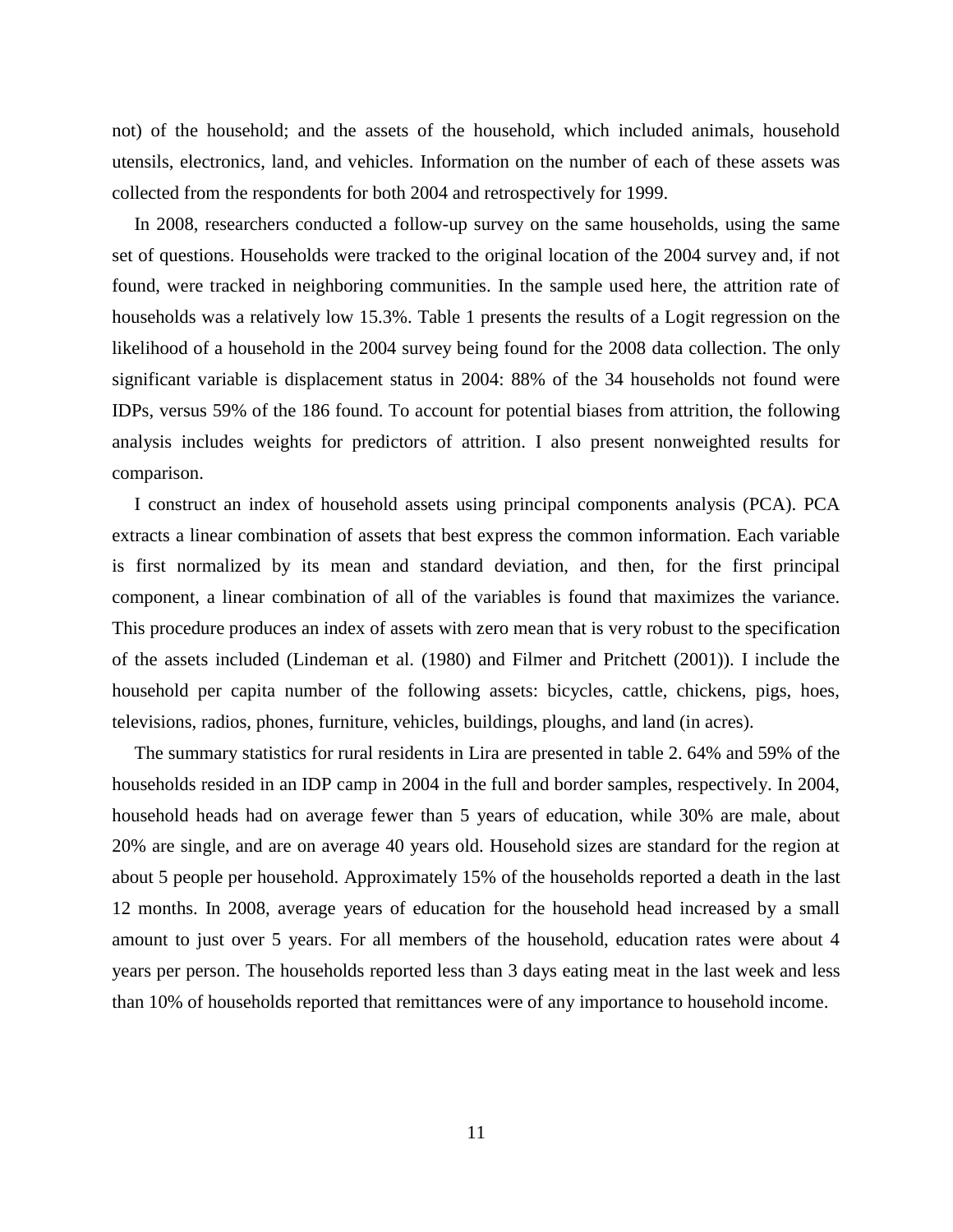not) of the household; and the assets of the household, which included animals, household utensils, electronics, land, and vehicles. Information on the number of each of these assets was collected from the respondents for both 2004 and retrospectively for 1999.

In 2008, researchers conducted a follow-up survey on the same households, using the same set of questions. Households were tracked to the original location of the 2004 survey and, if not found, were tracked in neighboring communities. In the sample used here, the attrition rate of households was a relatively low 15.3%. Table 1 presents the results of a Logit regression on the likelihood of a household in the 2004 survey being found for the 2008 data collection. The only significant variable is displacement status in 2004: 88% of the 34 households not found were IDPs, versus 59% of the 186 found. To account for potential biases from attrition, the following analysis includes weights for predictors of attrition. I also present nonweighted results for comparison.

I construct an index of household assets using principal components analysis (PCA). PCA extracts a linear combination of assets that best express the common information. Each variable is first normalized by its mean and standard deviation, and then, for the first principal component, a linear combination of all of the variables is found that maximizes the variance. This procedure produces an index of assets with zero mean that is very robust to the specification of the assets included (Lindeman et al. (1980) and Filmer and Pritchett (2001)). I include the household per capita number of the following assets: bicycles, cattle, chickens, pigs, hoes, televisions, radios, phones, furniture, vehicles, buildings, ploughs, and land (in acres).

The summary statistics for rural residents in Lira are presented in table 2. 64% and 59% of the households resided in an IDP camp in 2004 in the full and border samples, respectively. In 2004, household heads had on average fewer than 5 years of education, while 30% are male, about 20% are single, and are on average 40 years old. Household sizes are standard for the region at about 5 people per household. Approximately 15% of the households reported a death in the last 12 months. In 2008, average years of education for the household head increased by a small amount to just over 5 years. For all members of the household, education rates were about 4 years per person. The households reported less than 3 days eating meat in the last week and less than 10% of households reported that remittances were of any importance to household income.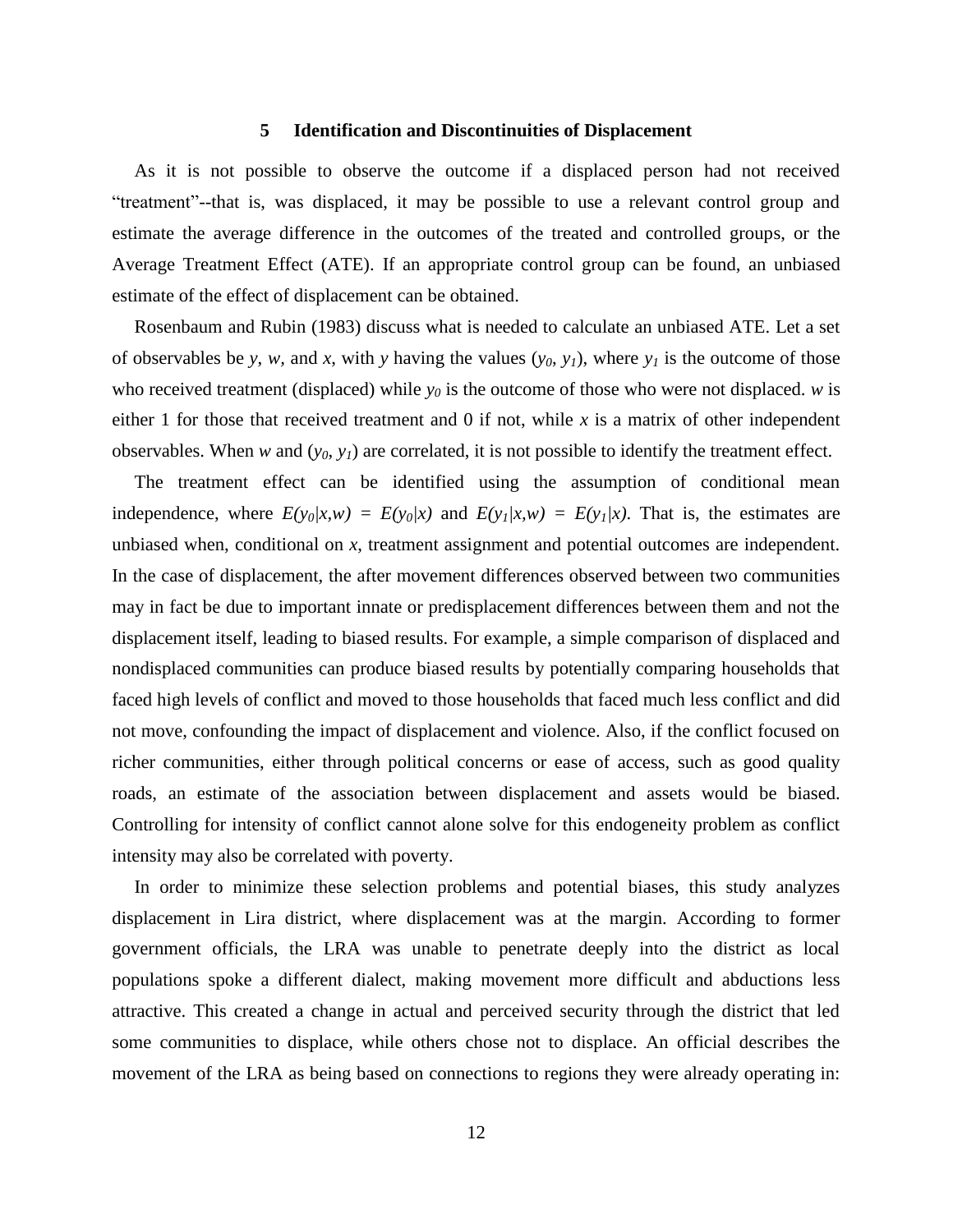#### **5 Identification and Discontinuities of Displacement**

As it is not possible to observe the outcome if a displaced person had not received "treatment"--that is, was displaced, it may be possible to use a relevant control group and estimate the average difference in the outcomes of the treated and controlled groups, or the Average Treatment Effect (ATE). If an appropriate control group can be found, an unbiased estimate of the effect of displacement can be obtained.

Rosenbaum and Rubin (1983) discuss what is needed to calculate an unbiased ATE. Let a set of observables be *y*, *w*, and *x*, with *y* having the values  $(y_0, y_1)$ , where  $y_1$  is the outcome of those who received treatment (displaced) while  $y_0$  is the outcome of those who were not displaced. *w* is either 1 for those that received treatment and 0 if not, while *x* is a matrix of other independent observables. When *w* and (*y0*, *y1*) are correlated, it is not possible to identify the treatment effect.

The treatment effect can be identified using the assumption of conditional mean independence, where  $E(y_0|x,w) = E(y_0|x)$  and  $E(y_1|x,w) = E(y_1|x)$ . That is, the estimates are unbiased when, conditional on *x*, treatment assignment and potential outcomes are independent. In the case of displacement, the after movement differences observed between two communities may in fact be due to important innate or predisplacement differences between them and not the displacement itself, leading to biased results. For example, a simple comparison of displaced and nondisplaced communities can produce biased results by potentially comparing households that faced high levels of conflict and moved to those households that faced much less conflict and did not move, confounding the impact of displacement and violence. Also, if the conflict focused on richer communities, either through political concerns or ease of access, such as good quality roads, an estimate of the association between displacement and assets would be biased. Controlling for intensity of conflict cannot alone solve for this endogeneity problem as conflict intensity may also be correlated with poverty.

In order to minimize these selection problems and potential biases, this study analyzes displacement in Lira district, where displacement was at the margin. According to former government officials, the LRA was unable to penetrate deeply into the district as local populations spoke a different dialect, making movement more difficult and abductions less attractive. This created a change in actual and perceived security through the district that led some communities to displace, while others chose not to displace. An official describes the movement of the LRA as being based on connections to regions they were already operating in: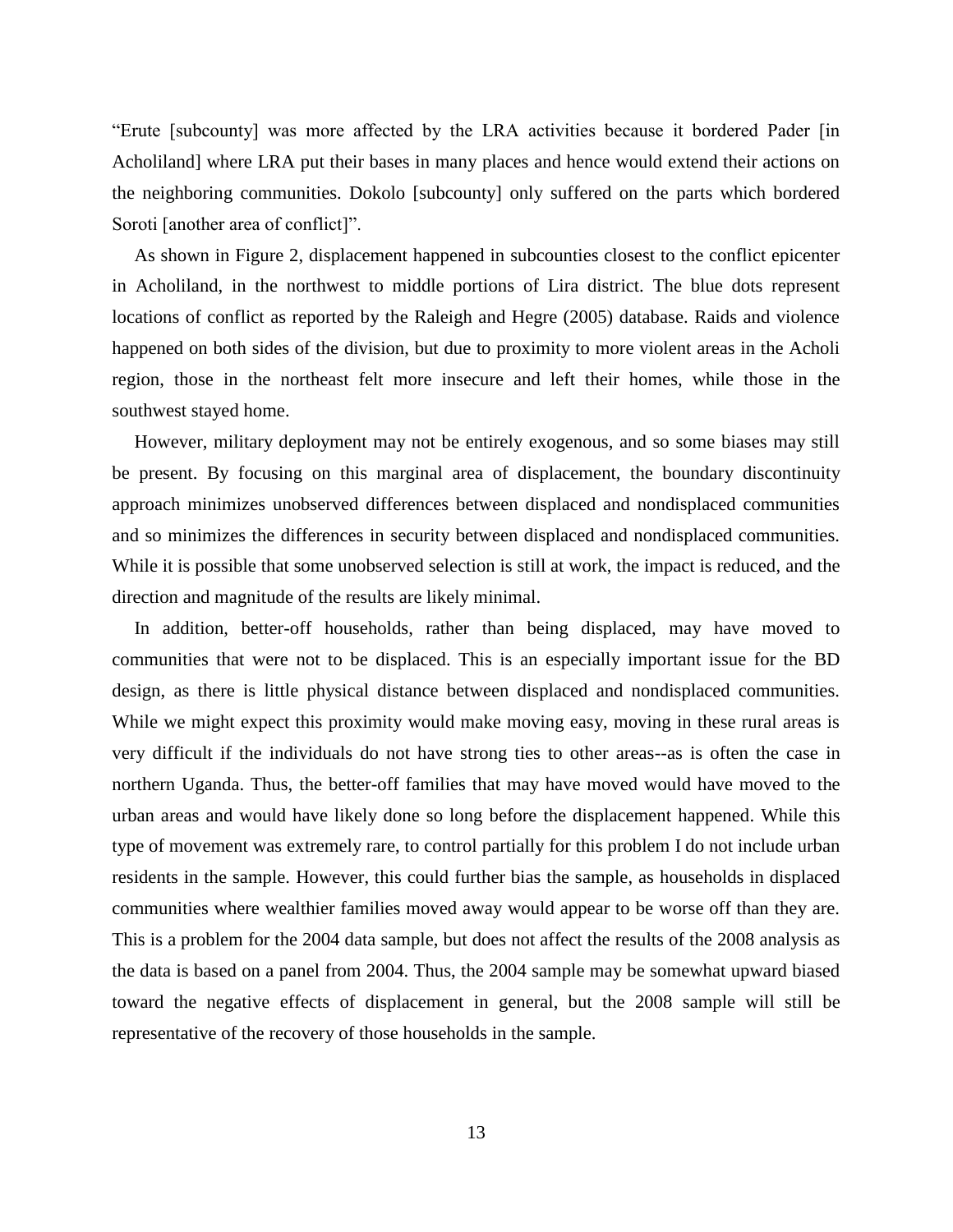"Erute [subcounty] was more affected by the LRA activities because it bordered Pader [in Acholiland] where LRA put their bases in many places and hence would extend their actions on the neighboring communities. Dokolo [subcounty] only suffered on the parts which bordered Soroti [another area of conflict]".

As shown in Figure 2, displacement happened in subcounties closest to the conflict epicenter in Acholiland, in the northwest to middle portions of Lira district. The blue dots represent locations of conflict as reported by the Raleigh and Hegre (2005) database. Raids and violence happened on both sides of the division, but due to proximity to more violent areas in the Acholi region, those in the northeast felt more insecure and left their homes, while those in the southwest stayed home.

However, military deployment may not be entirely exogenous, and so some biases may still be present. By focusing on this marginal area of displacement, the boundary discontinuity approach minimizes unobserved differences between displaced and nondisplaced communities and so minimizes the differences in security between displaced and nondisplaced communities. While it is possible that some unobserved selection is still at work, the impact is reduced, and the direction and magnitude of the results are likely minimal.

In addition, better-off households, rather than being displaced, may have moved to communities that were not to be displaced. This is an especially important issue for the BD design, as there is little physical distance between displaced and nondisplaced communities. While we might expect this proximity would make moving easy, moving in these rural areas is very difficult if the individuals do not have strong ties to other areas--as is often the case in northern Uganda. Thus, the better-off families that may have moved would have moved to the urban areas and would have likely done so long before the displacement happened. While this type of movement was extremely rare, to control partially for this problem I do not include urban residents in the sample. However, this could further bias the sample, as households in displaced communities where wealthier families moved away would appear to be worse off than they are. This is a problem for the 2004 data sample, but does not affect the results of the 2008 analysis as the data is based on a panel from 2004. Thus, the 2004 sample may be somewhat upward biased toward the negative effects of displacement in general, but the 2008 sample will still be representative of the recovery of those households in the sample.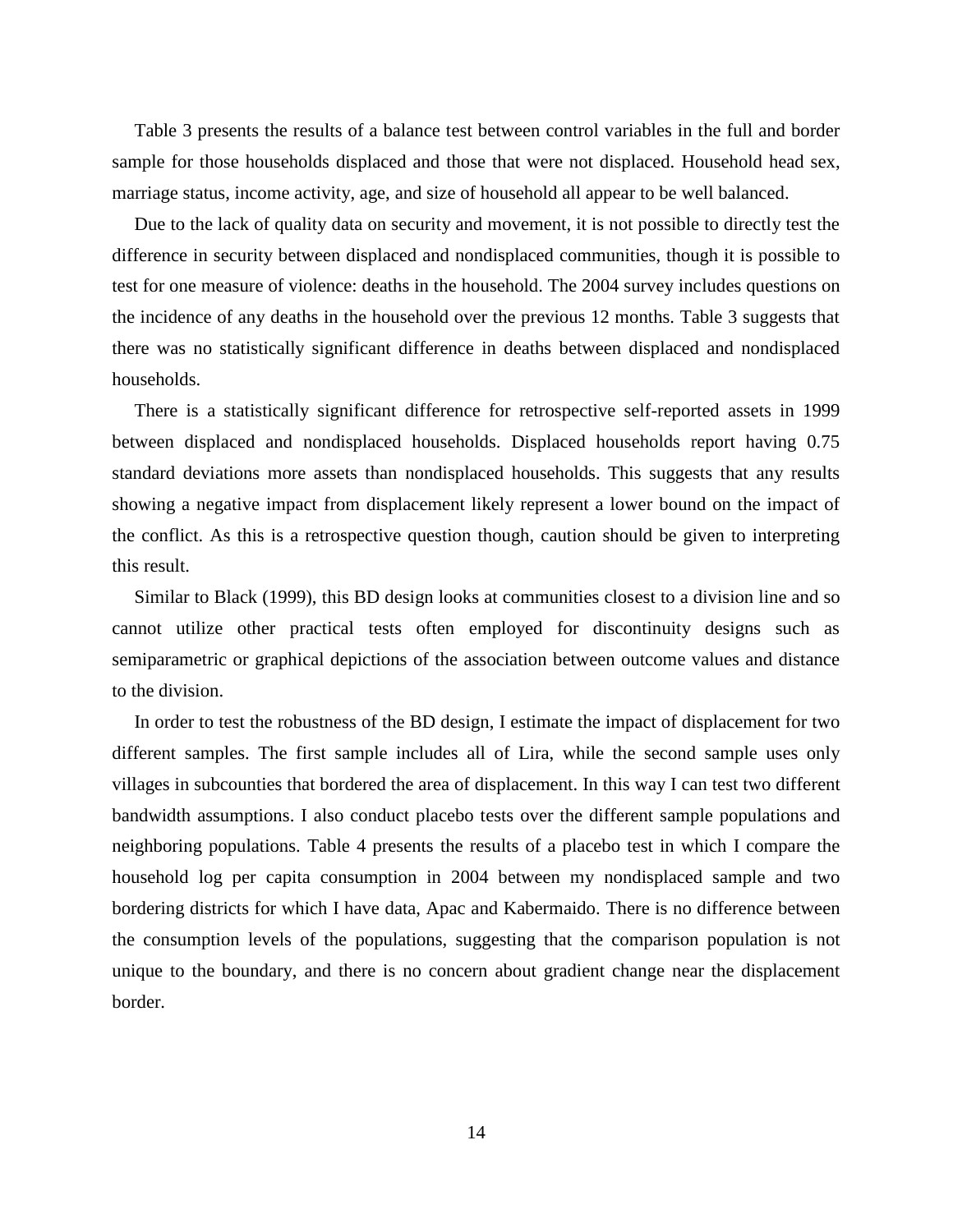Table 3 presents the results of a balance test between control variables in the full and border sample for those households displaced and those that were not displaced. Household head sex, marriage status, income activity, age, and size of household all appear to be well balanced.

Due to the lack of quality data on security and movement, it is not possible to directly test the difference in security between displaced and nondisplaced communities, though it is possible to test for one measure of violence: deaths in the household. The 2004 survey includes questions on the incidence of any deaths in the household over the previous 12 months. Table 3 suggests that there was no statistically significant difference in deaths between displaced and nondisplaced households.

There is a statistically significant difference for retrospective self-reported assets in 1999 between displaced and nondisplaced households. Displaced households report having 0.75 standard deviations more assets than nondisplaced households. This suggests that any results showing a negative impact from displacement likely represent a lower bound on the impact of the conflict. As this is a retrospective question though, caution should be given to interpreting this result.

Similar to Black (1999), this BD design looks at communities closest to a division line and so cannot utilize other practical tests often employed for discontinuity designs such as semiparametric or graphical depictions of the association between outcome values and distance to the division.

In order to test the robustness of the BD design, I estimate the impact of displacement for two different samples. The first sample includes all of Lira, while the second sample uses only villages in subcounties that bordered the area of displacement. In this way I can test two different bandwidth assumptions. I also conduct placebo tests over the different sample populations and neighboring populations. Table 4 presents the results of a placebo test in which I compare the household log per capita consumption in 2004 between my nondisplaced sample and two bordering districts for which I have data, Apac and Kabermaido. There is no difference between the consumption levels of the populations, suggesting that the comparison population is not unique to the boundary, and there is no concern about gradient change near the displacement border.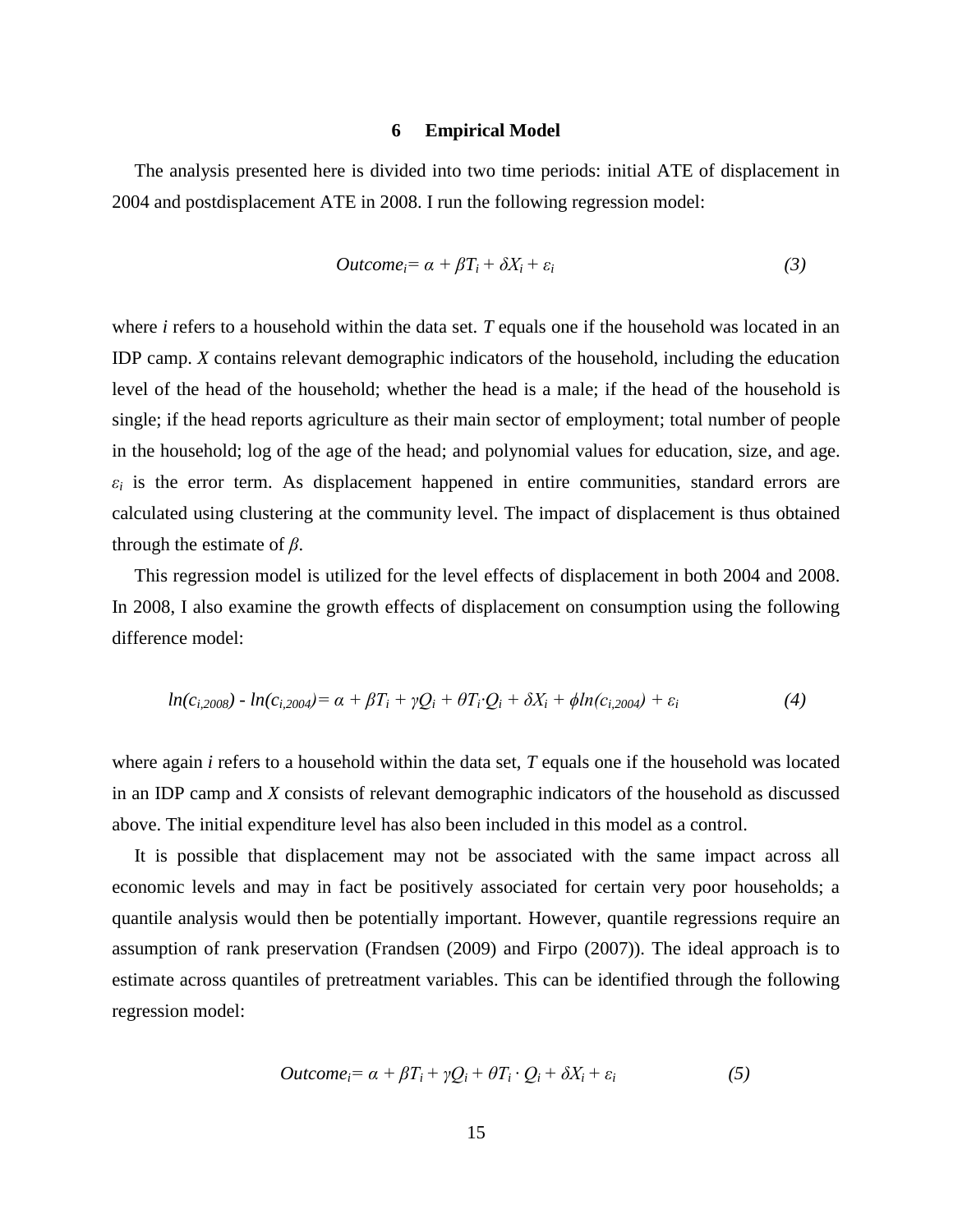#### **6 Empirical Model**

The analysis presented here is divided into two time periods: initial ATE of displacement in 2004 and postdisplacement ATE in 2008. I run the following regression model:

$$
Outcome_i = \alpha + \beta T_i + \delta X_i + \varepsilon_i \tag{3}
$$

where *i* refers to a household within the data set. *T* equals one if the household was located in an IDP camp. *X* contains relevant demographic indicators of the household, including the education level of the head of the household; whether the head is a male; if the head of the household is single; if the head reports agriculture as their main sector of employment; total number of people in the household; log of the age of the head; and polynomial values for education, size, and age.  $\varepsilon_i$  is the error term. As displacement happened in entire communities, standard errors are calculated using clustering at the community level. The impact of displacement is thus obtained through the estimate of *β*.

This regression model is utilized for the level effects of displacement in both 2004 and 2008. In 2008, I also examine the growth effects of displacement on consumption using the following difference model:

$$
ln(c_{i,2008}) - ln(c_{i,2004}) = \alpha + \beta T_i + \gamma Q_i + \theta T_i \cdot Q_i + \delta X_i + \phi ln(c_{i,2004}) + \varepsilon_i
$$
\n(4)

where again *i* refers to a household within the data set, *T* equals one if the household was located in an IDP camp and *X* consists of relevant demographic indicators of the household as discussed above. The initial expenditure level has also been included in this model as a control.

It is possible that displacement may not be associated with the same impact across all economic levels and may in fact be positively associated for certain very poor households; a quantile analysis would then be potentially important. However, quantile regressions require an assumption of rank preservation (Frandsen (2009) and Firpo (2007)). The ideal approach is to estimate across quantiles of pretreatment variables. This can be identified through the following regression model:

$$
Outcome_i = \alpha + \beta T_i + \gamma Q_i + \theta T_i \cdot Q_i + \delta X_i + \varepsilon_i \tag{5}
$$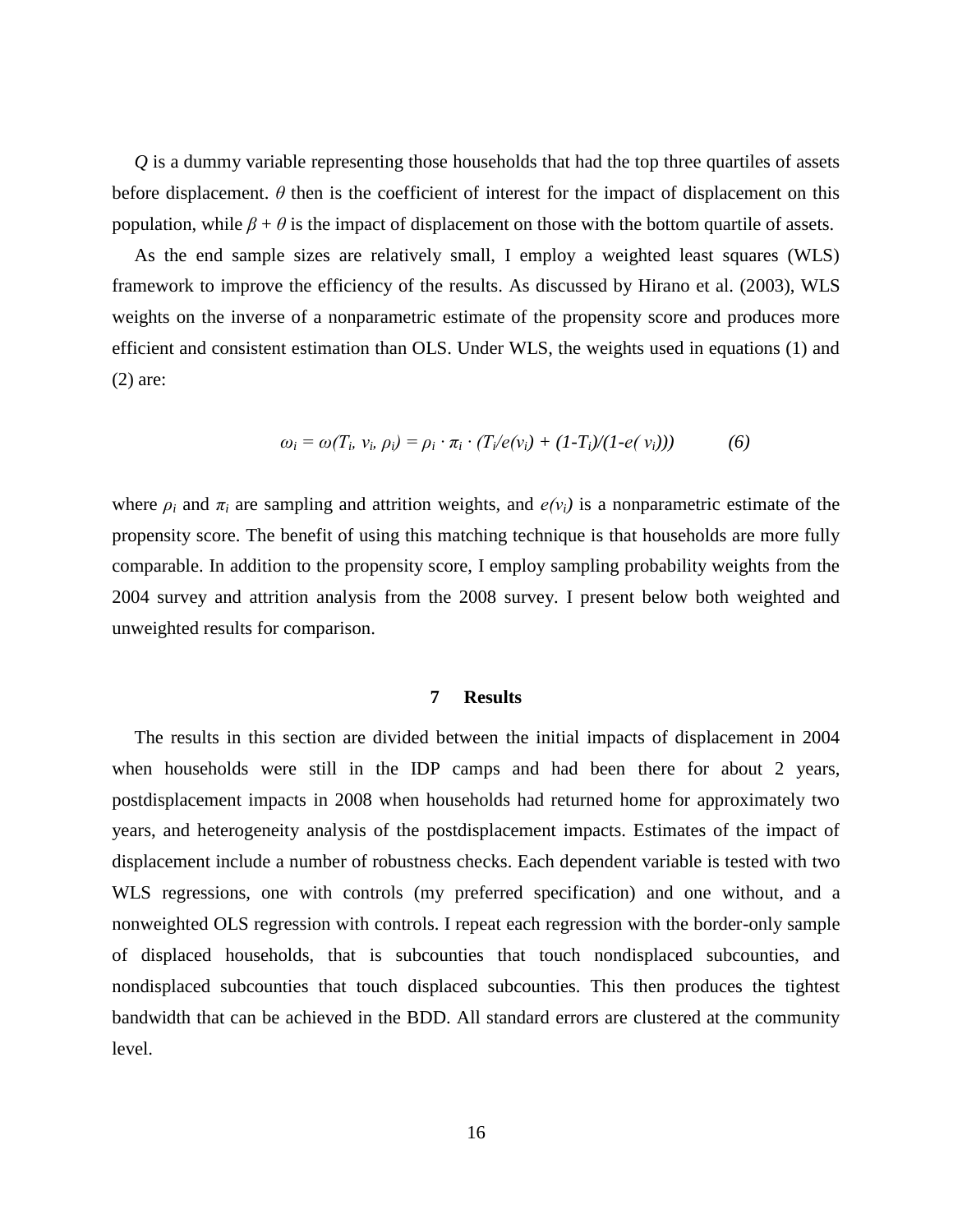*Q* is a dummy variable representing those households that had the top three quartiles of assets before displacement. *θ* then is the coefficient of interest for the impact of displacement on this population, while  $\beta + \theta$  is the impact of displacement on those with the bottom quartile of assets.

As the end sample sizes are relatively small, I employ a weighted least squares (WLS) framework to improve the efficiency of the results. As discussed by Hirano et al. (2003), WLS weights on the inverse of a nonparametric estimate of the propensity score and produces more efficient and consistent estimation than OLS. Under WLS, the weights used in equations (1) and (2) are:

$$
\omega_i = \omega(T_i, v_i, \rho_i) = \rho_i \cdot \pi_i \cdot (T_i/e(v_i) + (1-T_i)/(1-e(v_i))) \tag{6}
$$

where  $\rho_i$  and  $\pi_i$  are sampling and attrition weights, and  $e(v_i)$  is a nonparametric estimate of the propensity score. The benefit of using this matching technique is that households are more fully comparable. In addition to the propensity score, I employ sampling probability weights from the 2004 survey and attrition analysis from the 2008 survey. I present below both weighted and unweighted results for comparison.

#### **7 Results**

The results in this section are divided between the initial impacts of displacement in 2004 when households were still in the IDP camps and had been there for about 2 years, postdisplacement impacts in 2008 when households had returned home for approximately two years, and heterogeneity analysis of the postdisplacement impacts. Estimates of the impact of displacement include a number of robustness checks. Each dependent variable is tested with two WLS regressions, one with controls (my preferred specification) and one without, and a nonweighted OLS regression with controls. I repeat each regression with the border-only sample of displaced households, that is subcounties that touch nondisplaced subcounties, and nondisplaced subcounties that touch displaced subcounties. This then produces the tightest bandwidth that can be achieved in the BDD. All standard errors are clustered at the community level.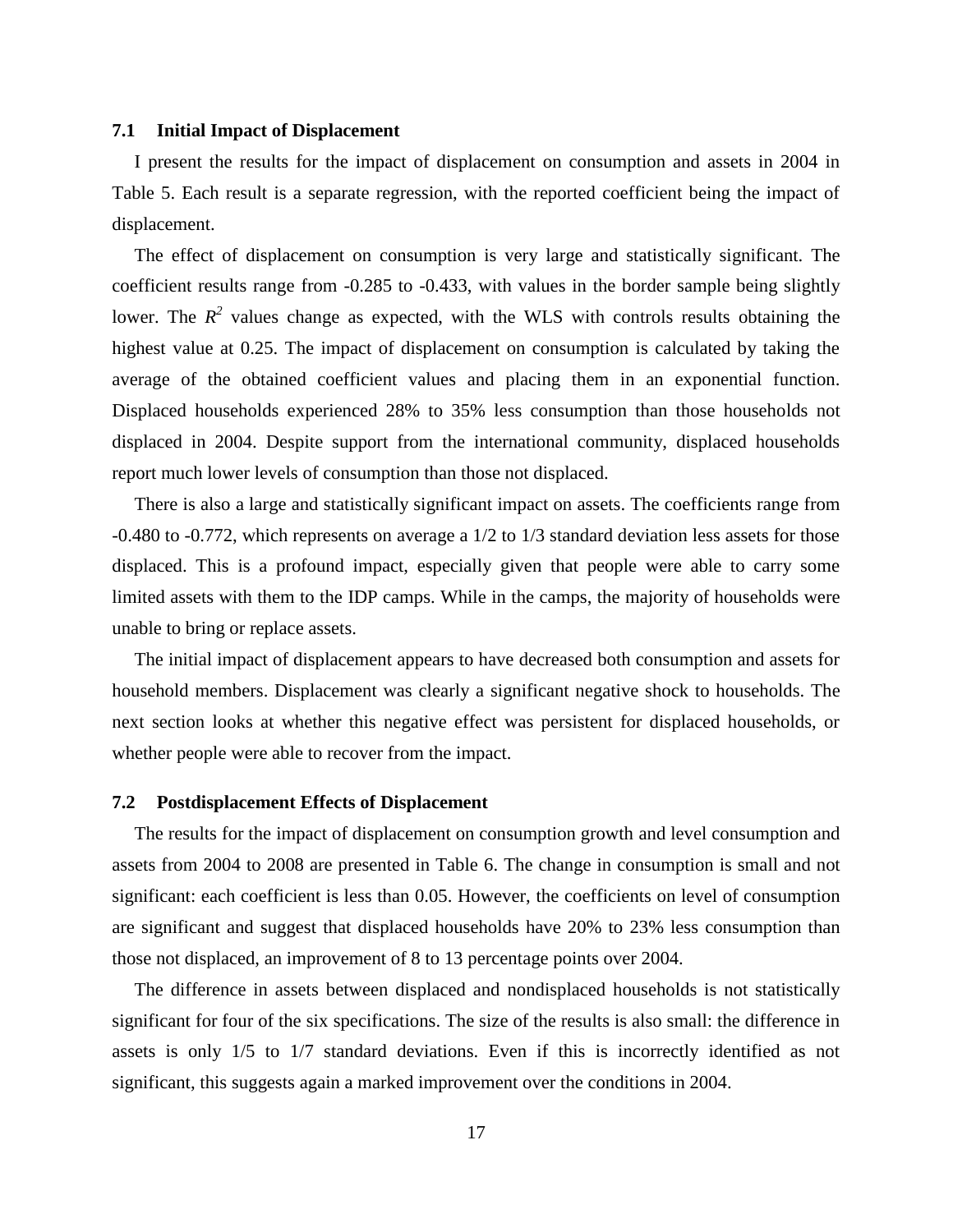#### **7.1 Initial Impact of Displacement**

I present the results for the impact of displacement on consumption and assets in 2004 in Table 5. Each result is a separate regression, with the reported coefficient being the impact of displacement.

The effect of displacement on consumption is very large and statistically significant. The coefficient results range from -0.285 to -0.433, with values in the border sample being slightly lower. The  $R^2$  values change as expected, with the WLS with controls results obtaining the highest value at 0.25. The impact of displacement on consumption is calculated by taking the average of the obtained coefficient values and placing them in an exponential function. Displaced households experienced 28% to 35% less consumption than those households not displaced in 2004. Despite support from the international community, displaced households report much lower levels of consumption than those not displaced.

There is also a large and statistically significant impact on assets. The coefficients range from -0.480 to -0.772, which represents on average a 1/2 to 1/3 standard deviation less assets for those displaced. This is a profound impact, especially given that people were able to carry some limited assets with them to the IDP camps. While in the camps, the majority of households were unable to bring or replace assets.

The initial impact of displacement appears to have decreased both consumption and assets for household members. Displacement was clearly a significant negative shock to households. The next section looks at whether this negative effect was persistent for displaced households, or whether people were able to recover from the impact.

# **7.2 Postdisplacement Effects of Displacement**

The results for the impact of displacement on consumption growth and level consumption and assets from 2004 to 2008 are presented in Table 6. The change in consumption is small and not significant: each coefficient is less than 0.05. However, the coefficients on level of consumption are significant and suggest that displaced households have 20% to 23% less consumption than those not displaced, an improvement of 8 to 13 percentage points over 2004.

The difference in assets between displaced and nondisplaced households is not statistically significant for four of the six specifications. The size of the results is also small: the difference in assets is only 1/5 to 1/7 standard deviations. Even if this is incorrectly identified as not significant, this suggests again a marked improvement over the conditions in 2004.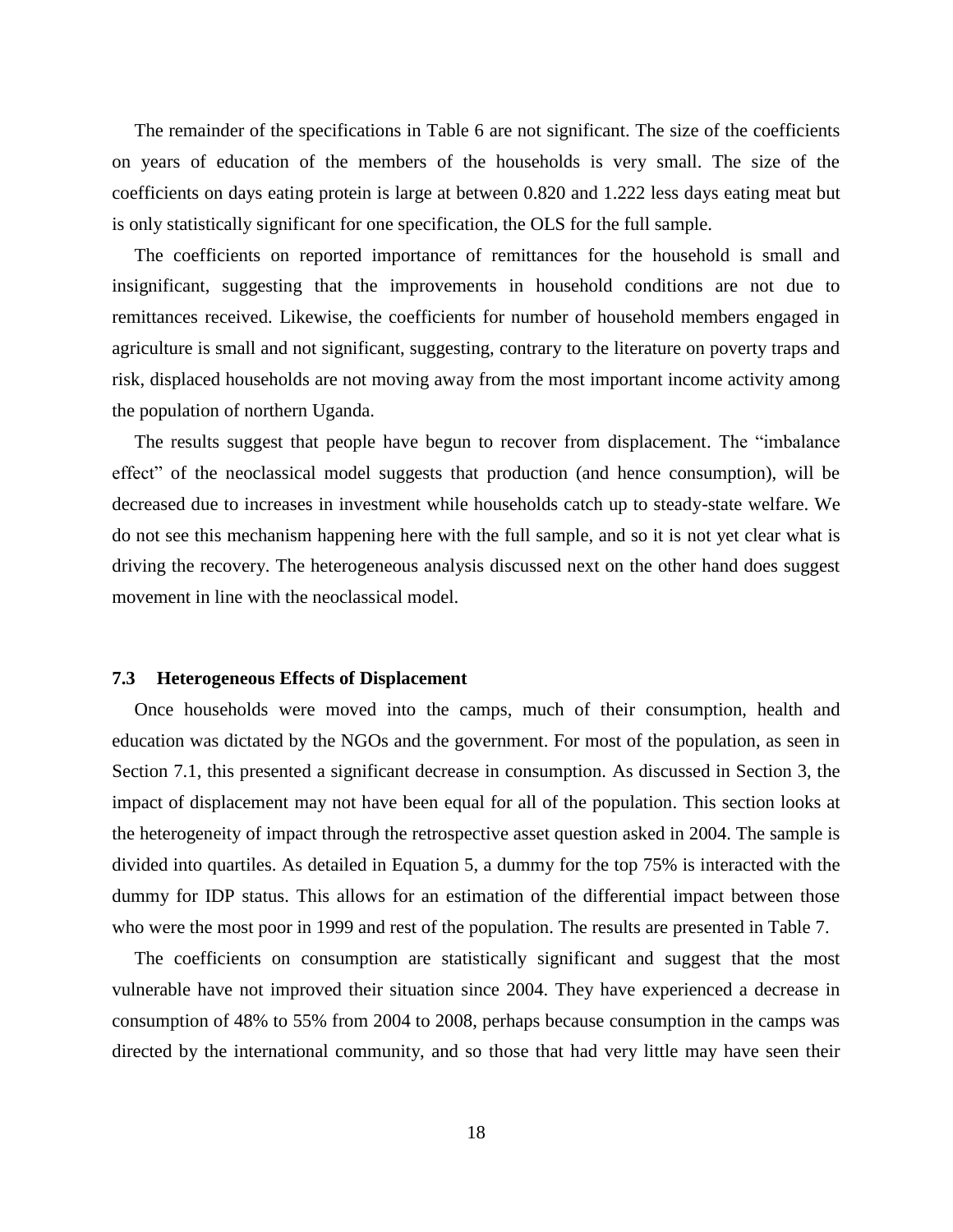The remainder of the specifications in Table 6 are not significant. The size of the coefficients on years of education of the members of the households is very small. The size of the coefficients on days eating protein is large at between 0.820 and 1.222 less days eating meat but is only statistically significant for one specification, the OLS for the full sample.

The coefficients on reported importance of remittances for the household is small and insignificant, suggesting that the improvements in household conditions are not due to remittances received. Likewise, the coefficients for number of household members engaged in agriculture is small and not significant, suggesting, contrary to the literature on poverty traps and risk, displaced households are not moving away from the most important income activity among the population of northern Uganda.

The results suggest that people have begun to recover from displacement. The "imbalance effect" of the neoclassical model suggests that production (and hence consumption), will be decreased due to increases in investment while households catch up to steady-state welfare. We do not see this mechanism happening here with the full sample, and so it is not yet clear what is driving the recovery. The heterogeneous analysis discussed next on the other hand does suggest movement in line with the neoclassical model.

## **7.3 Heterogeneous Effects of Displacement**

Once households were moved into the camps, much of their consumption, health and education was dictated by the NGOs and the government. For most of the population, as seen in Section 7.1, this presented a significant decrease in consumption. As discussed in Section 3, the impact of displacement may not have been equal for all of the population. This section looks at the heterogeneity of impact through the retrospective asset question asked in 2004. The sample is divided into quartiles. As detailed in Equation 5, a dummy for the top 75% is interacted with the dummy for IDP status. This allows for an estimation of the differential impact between those who were the most poor in 1999 and rest of the population. The results are presented in Table 7.

The coefficients on consumption are statistically significant and suggest that the most vulnerable have not improved their situation since 2004. They have experienced a decrease in consumption of 48% to 55% from 2004 to 2008, perhaps because consumption in the camps was directed by the international community, and so those that had very little may have seen their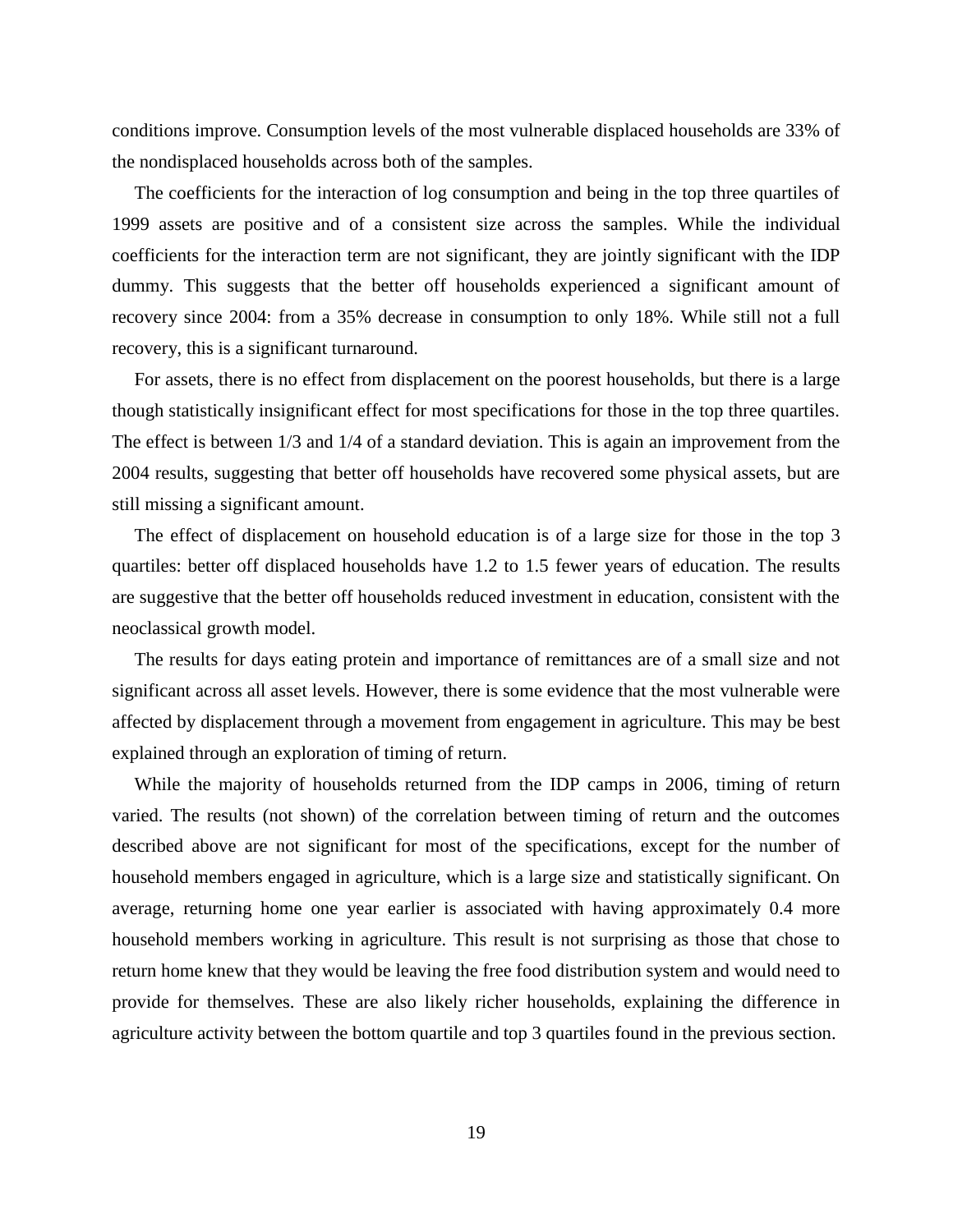conditions improve. Consumption levels of the most vulnerable displaced households are 33% of the nondisplaced households across both of the samples.

The coefficients for the interaction of log consumption and being in the top three quartiles of 1999 assets are positive and of a consistent size across the samples. While the individual coefficients for the interaction term are not significant, they are jointly significant with the IDP dummy. This suggests that the better off households experienced a significant amount of recovery since 2004: from a 35% decrease in consumption to only 18%. While still not a full recovery, this is a significant turnaround.

For assets, there is no effect from displacement on the poorest households, but there is a large though statistically insignificant effect for most specifications for those in the top three quartiles. The effect is between 1/3 and 1/4 of a standard deviation. This is again an improvement from the 2004 results, suggesting that better off households have recovered some physical assets, but are still missing a significant amount.

The effect of displacement on household education is of a large size for those in the top 3 quartiles: better off displaced households have 1.2 to 1.5 fewer years of education. The results are suggestive that the better off households reduced investment in education, consistent with the neoclassical growth model.

The results for days eating protein and importance of remittances are of a small size and not significant across all asset levels. However, there is some evidence that the most vulnerable were affected by displacement through a movement from engagement in agriculture. This may be best explained through an exploration of timing of return.

While the majority of households returned from the IDP camps in 2006, timing of return varied. The results (not shown) of the correlation between timing of return and the outcomes described above are not significant for most of the specifications, except for the number of household members engaged in agriculture, which is a large size and statistically significant. On average, returning home one year earlier is associated with having approximately 0.4 more household members working in agriculture. This result is not surprising as those that chose to return home knew that they would be leaving the free food distribution system and would need to provide for themselves. These are also likely richer households, explaining the difference in agriculture activity between the bottom quartile and top 3 quartiles found in the previous section.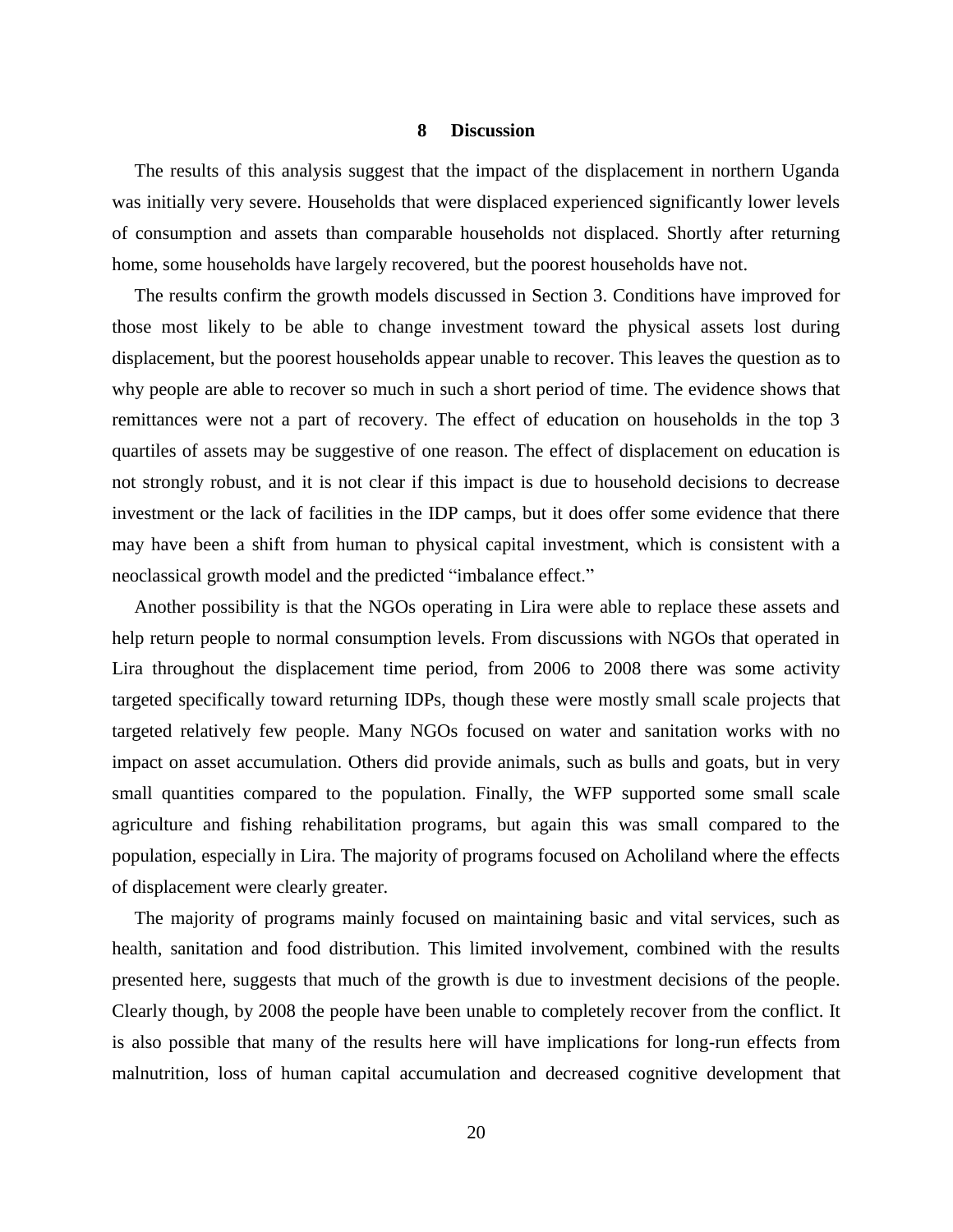#### **8 Discussion**

The results of this analysis suggest that the impact of the displacement in northern Uganda was initially very severe. Households that were displaced experienced significantly lower levels of consumption and assets than comparable households not displaced. Shortly after returning home, some households have largely recovered, but the poorest households have not.

The results confirm the growth models discussed in Section 3. Conditions have improved for those most likely to be able to change investment toward the physical assets lost during displacement, but the poorest households appear unable to recover. This leaves the question as to why people are able to recover so much in such a short period of time. The evidence shows that remittances were not a part of recovery. The effect of education on households in the top 3 quartiles of assets may be suggestive of one reason. The effect of displacement on education is not strongly robust, and it is not clear if this impact is due to household decisions to decrease investment or the lack of facilities in the IDP camps, but it does offer some evidence that there may have been a shift from human to physical capital investment, which is consistent with a neoclassical growth model and the predicted "imbalance effect."

Another possibility is that the NGOs operating in Lira were able to replace these assets and help return people to normal consumption levels. From discussions with NGOs that operated in Lira throughout the displacement time period, from 2006 to 2008 there was some activity targeted specifically toward returning IDPs, though these were mostly small scale projects that targeted relatively few people. Many NGOs focused on water and sanitation works with no impact on asset accumulation. Others did provide animals, such as bulls and goats, but in very small quantities compared to the population. Finally, the WFP supported some small scale agriculture and fishing rehabilitation programs, but again this was small compared to the population, especially in Lira. The majority of programs focused on Acholiland where the effects of displacement were clearly greater.

The majority of programs mainly focused on maintaining basic and vital services, such as health, sanitation and food distribution. This limited involvement, combined with the results presented here, suggests that much of the growth is due to investment decisions of the people. Clearly though, by 2008 the people have been unable to completely recover from the conflict. It is also possible that many of the results here will have implications for long-run effects from malnutrition, loss of human capital accumulation and decreased cognitive development that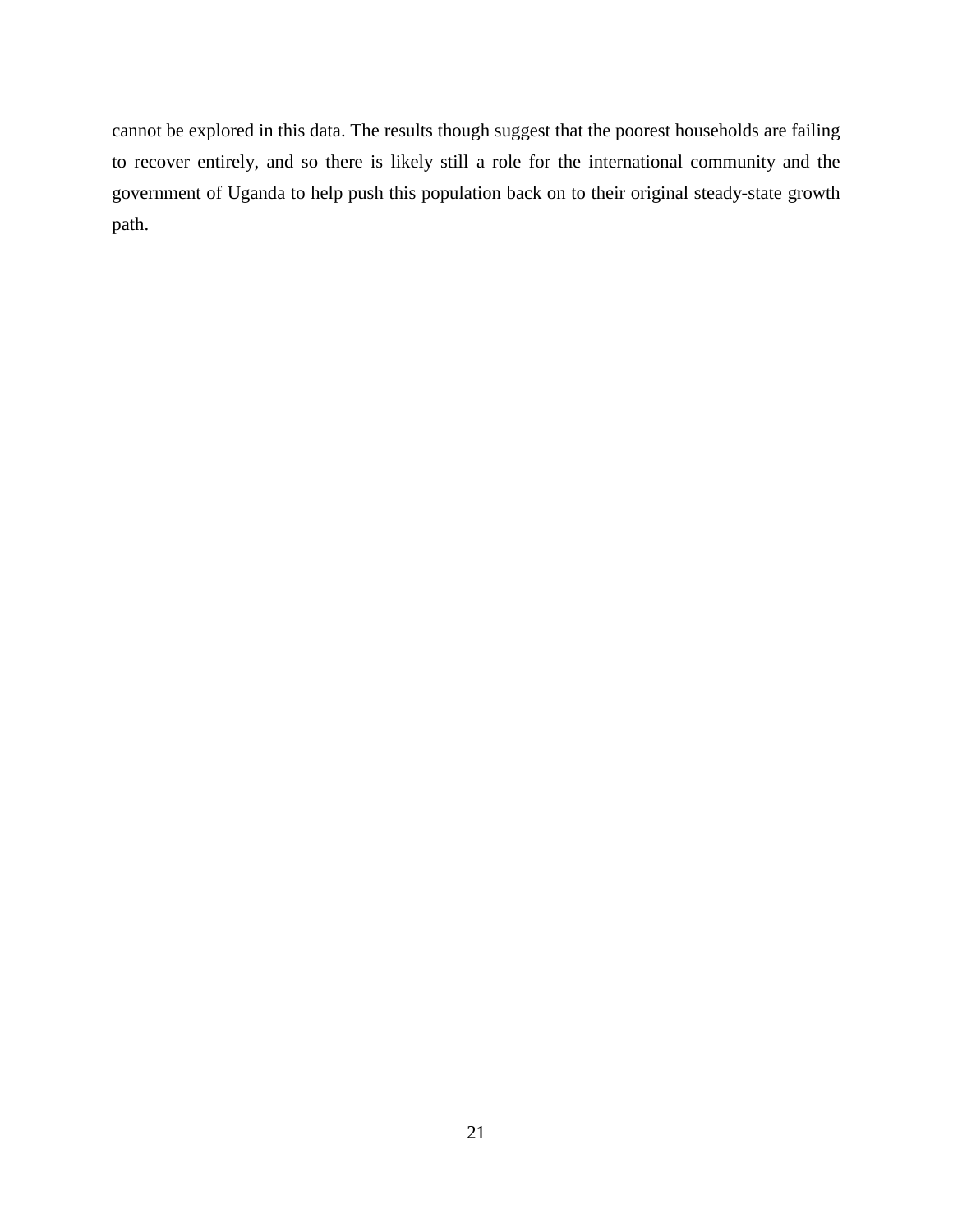cannot be explored in this data. The results though suggest that the poorest households are failing to recover entirely, and so there is likely still a role for the international community and the government of Uganda to help push this population back on to their original steady-state growth path.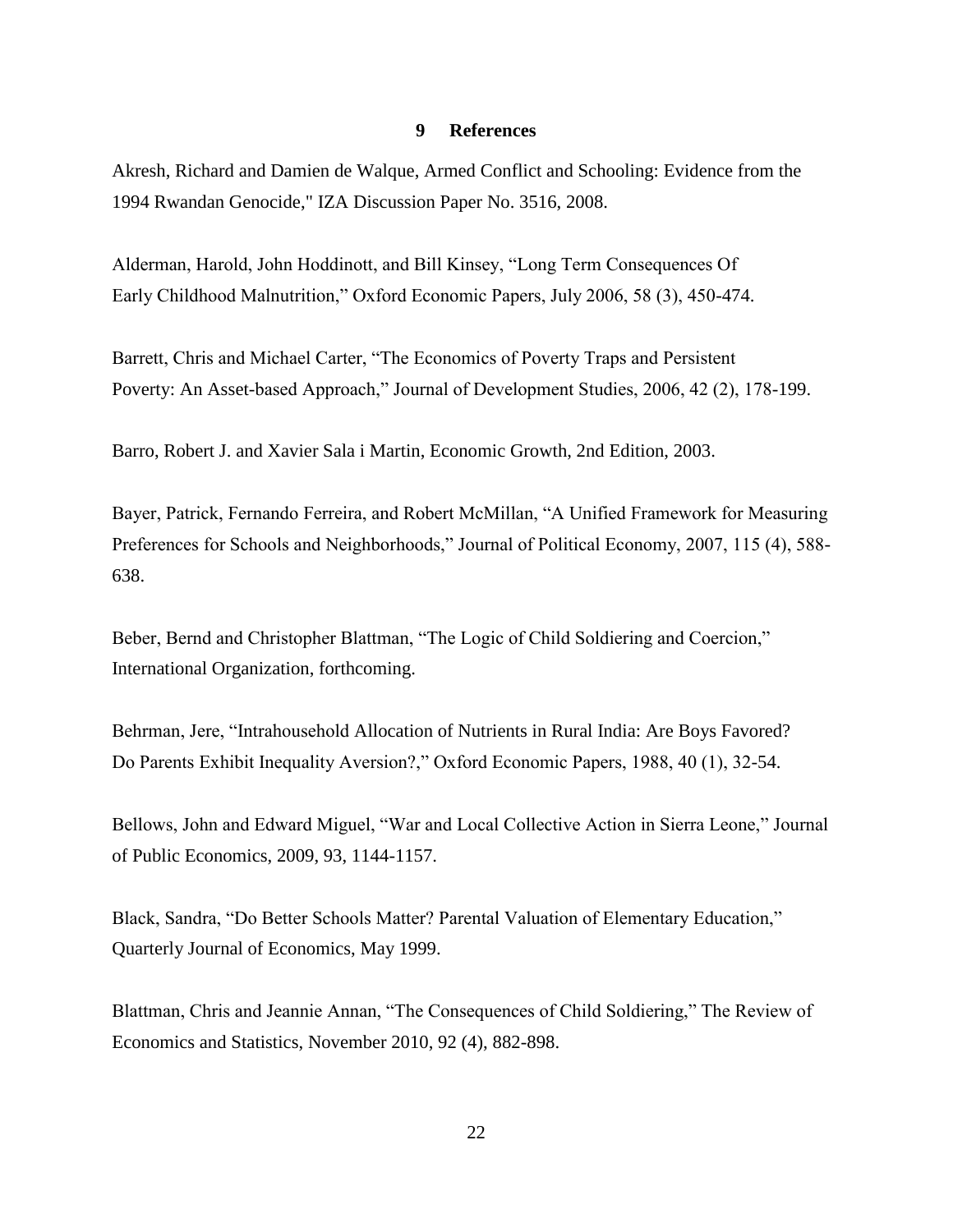# **9 References**

Akresh, Richard and Damien de Walque, Armed Conflict and Schooling: Evidence from the 1994 Rwandan Genocide," IZA Discussion Paper No. 3516, 2008.

Alderman, Harold, John Hoddinott, and Bill Kinsey, "Long Term Consequences Of Early Childhood Malnutrition," Oxford Economic Papers, July 2006, 58 (3), 450-474.

Barrett, Chris and Michael Carter, "The Economics of Poverty Traps and Persistent Poverty: An Asset-based Approach," Journal of Development Studies, 2006, 42 (2), 178-199.

Barro, Robert J. and Xavier Sala i Martin, Economic Growth, 2nd Edition, 2003.

Bayer, Patrick, Fernando Ferreira, and Robert McMillan, "A Unified Framework for Measuring Preferences for Schools and Neighborhoods," Journal of Political Economy, 2007, 115 (4), 588- 638.

Beber, Bernd and Christopher Blattman, "The Logic of Child Soldiering and Coercion," International Organization, forthcoming.

Behrman, Jere, "Intrahousehold Allocation of Nutrients in Rural India: Are Boys Favored? Do Parents Exhibit Inequality Aversion?," Oxford Economic Papers, 1988, 40 (1), 32-54.

Bellows, John and Edward Miguel, "War and Local Collective Action in Sierra Leone," Journal of Public Economics, 2009, 93, 1144-1157.

Black, Sandra, "Do Better Schools Matter? Parental Valuation of Elementary Education," Quarterly Journal of Economics, May 1999.

Blattman, Chris and Jeannie Annan, "The Consequences of Child Soldiering," The Review of Economics and Statistics, November 2010, 92 (4), 882-898.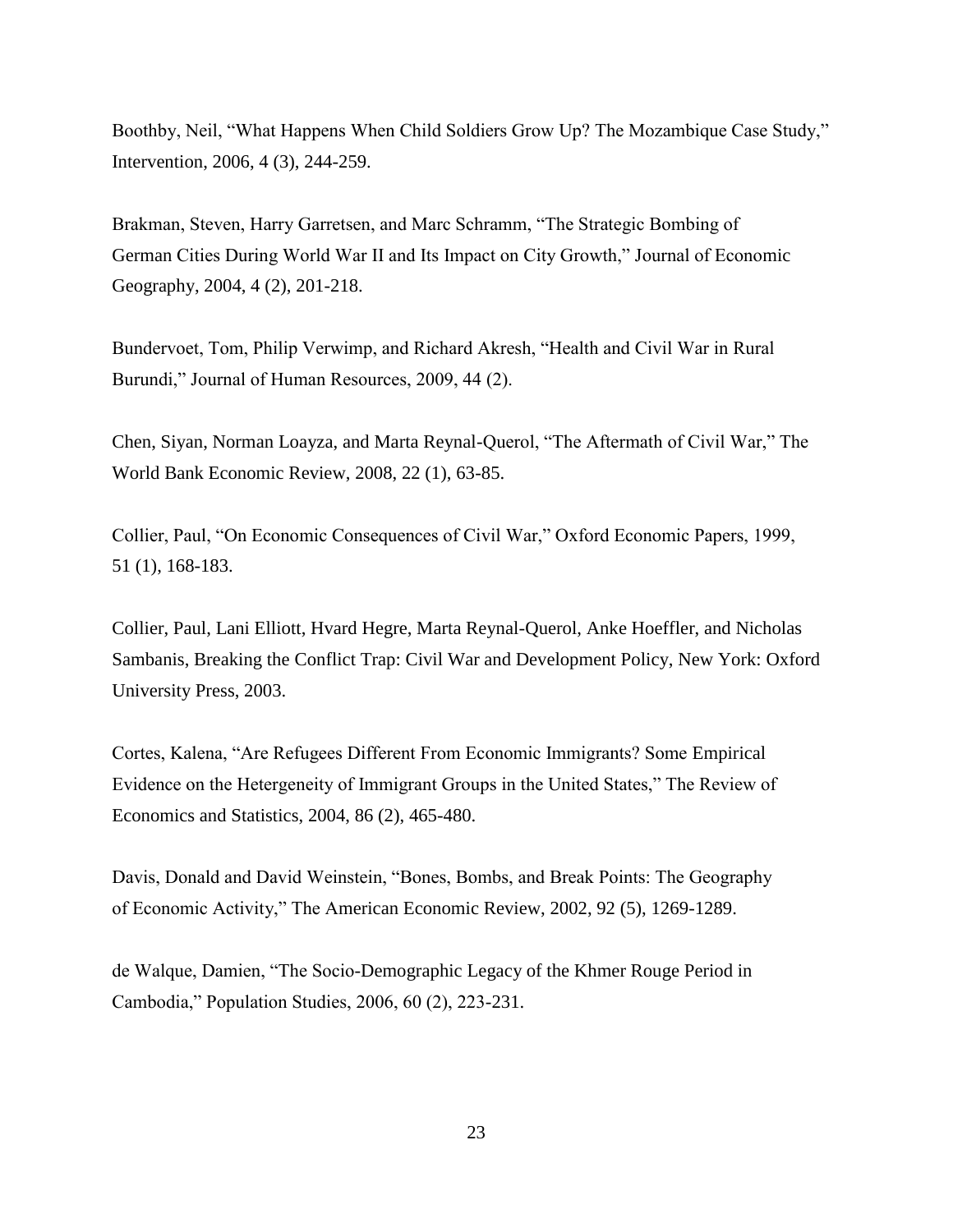Boothby, Neil, "What Happens When Child Soldiers Grow Up? The Mozambique Case Study," Intervention, 2006, 4 (3), 244-259.

Brakman, Steven, Harry Garretsen, and Marc Schramm, "The Strategic Bombing of German Cities During World War II and Its Impact on City Growth," Journal of Economic Geography, 2004, 4 (2), 201-218.

Bundervoet, Tom, Philip Verwimp, and Richard Akresh, "Health and Civil War in Rural Burundi," Journal of Human Resources, 2009, 44 (2).

Chen, Siyan, Norman Loayza, and Marta Reynal-Querol, "The Aftermath of Civil War," The World Bank Economic Review, 2008, 22 (1), 63-85.

Collier, Paul, "On Economic Consequences of Civil War," Oxford Economic Papers, 1999, 51 (1), 168-183.

Collier, Paul, Lani Elliott, Hvard Hegre, Marta Reynal-Querol, Anke Hoeffler, and Nicholas Sambanis, Breaking the Conflict Trap: Civil War and Development Policy, New York: Oxford University Press, 2003.

Cortes, Kalena, "Are Refugees Different From Economic Immigrants? Some Empirical Evidence on the Hetergeneity of Immigrant Groups in the United States," The Review of Economics and Statistics, 2004, 86 (2), 465-480.

Davis, Donald and David Weinstein, "Bones, Bombs, and Break Points: The Geography of Economic Activity," The American Economic Review, 2002, 92 (5), 1269-1289.

de Walque, Damien, "The Socio-Demographic Legacy of the Khmer Rouge Period in Cambodia," Population Studies, 2006, 60 (2), 223-231.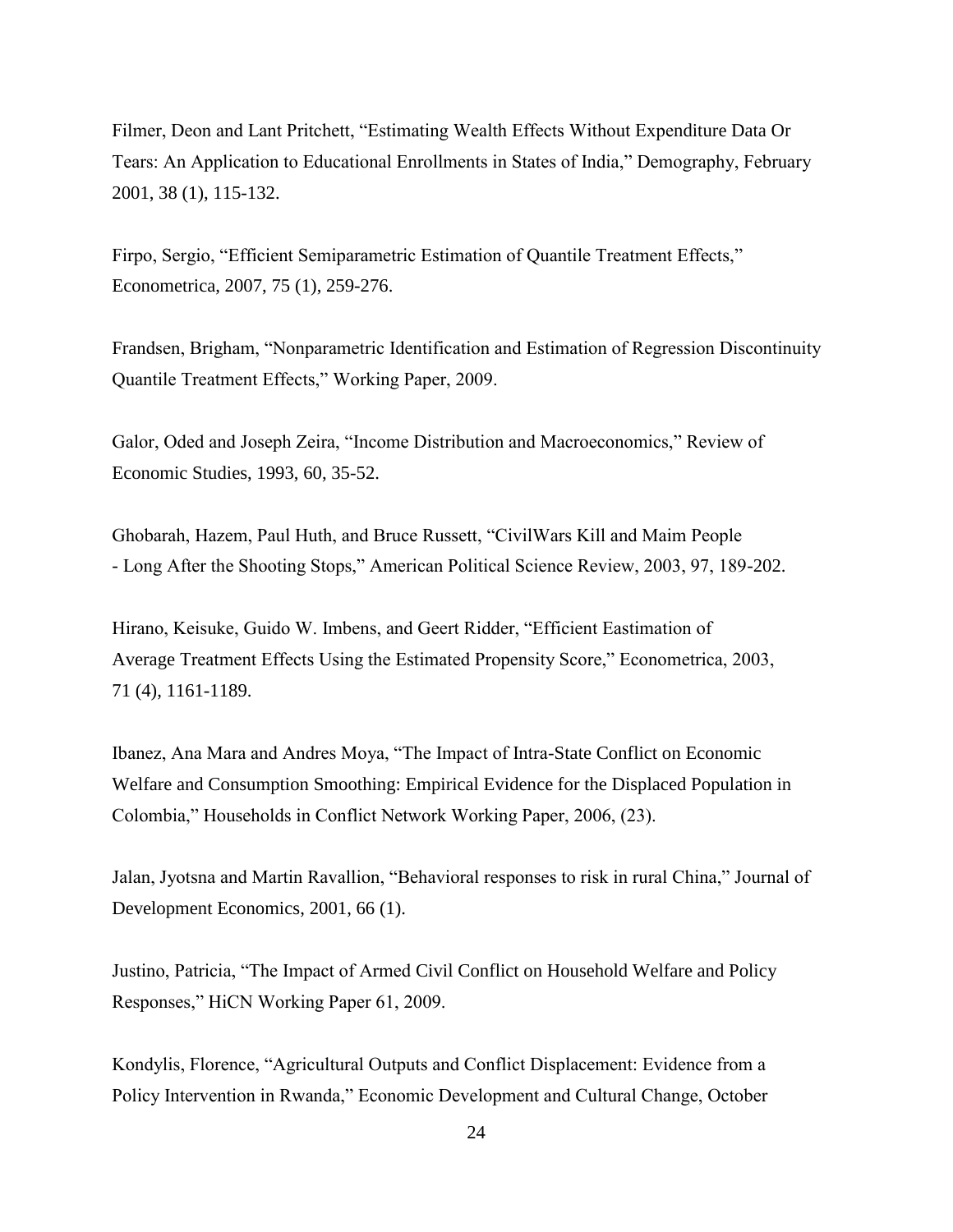Filmer, Deon and Lant Pritchett, "Estimating Wealth Effects Without Expenditure Data Or Tears: An Application to Educational Enrollments in States of India," Demography, February 2001, 38 (1), 115-132.

Firpo, Sergio, "Efficient Semiparametric Estimation of Quantile Treatment Effects," Econometrica, 2007, 75 (1), 259-276.

Frandsen, Brigham, "Nonparametric Identification and Estimation of Regression Discontinuity Quantile Treatment Effects," Working Paper, 2009.

Galor, Oded and Joseph Zeira, "Income Distribution and Macroeconomics," Review of Economic Studies, 1993, 60, 35-52.

Ghobarah, Hazem, Paul Huth, and Bruce Russett, "CivilWars Kill and Maim People - Long After the Shooting Stops," American Political Science Review, 2003, 97, 189-202.

Hirano, Keisuke, Guido W. Imbens, and Geert Ridder, "Efficient Eastimation of Average Treatment Effects Using the Estimated Propensity Score," Econometrica, 2003, 71 (4), 1161-1189.

Ibanez, Ana Mara and Andres Moya, "The Impact of Intra-State Conflict on Economic Welfare and Consumption Smoothing: Empirical Evidence for the Displaced Population in Colombia," Households in Conflict Network Working Paper, 2006, (23).

Jalan, Jyotsna and Martin Ravallion, "Behavioral responses to risk in rural China," Journal of Development Economics, 2001, 66 (1).

Justino, Patricia, "The Impact of Armed Civil Conflict on Household Welfare and Policy Responses," HiCN Working Paper 61, 2009.

Kondylis, Florence, "Agricultural Outputs and Conflict Displacement: Evidence from a Policy Intervention in Rwanda," Economic Development and Cultural Change, October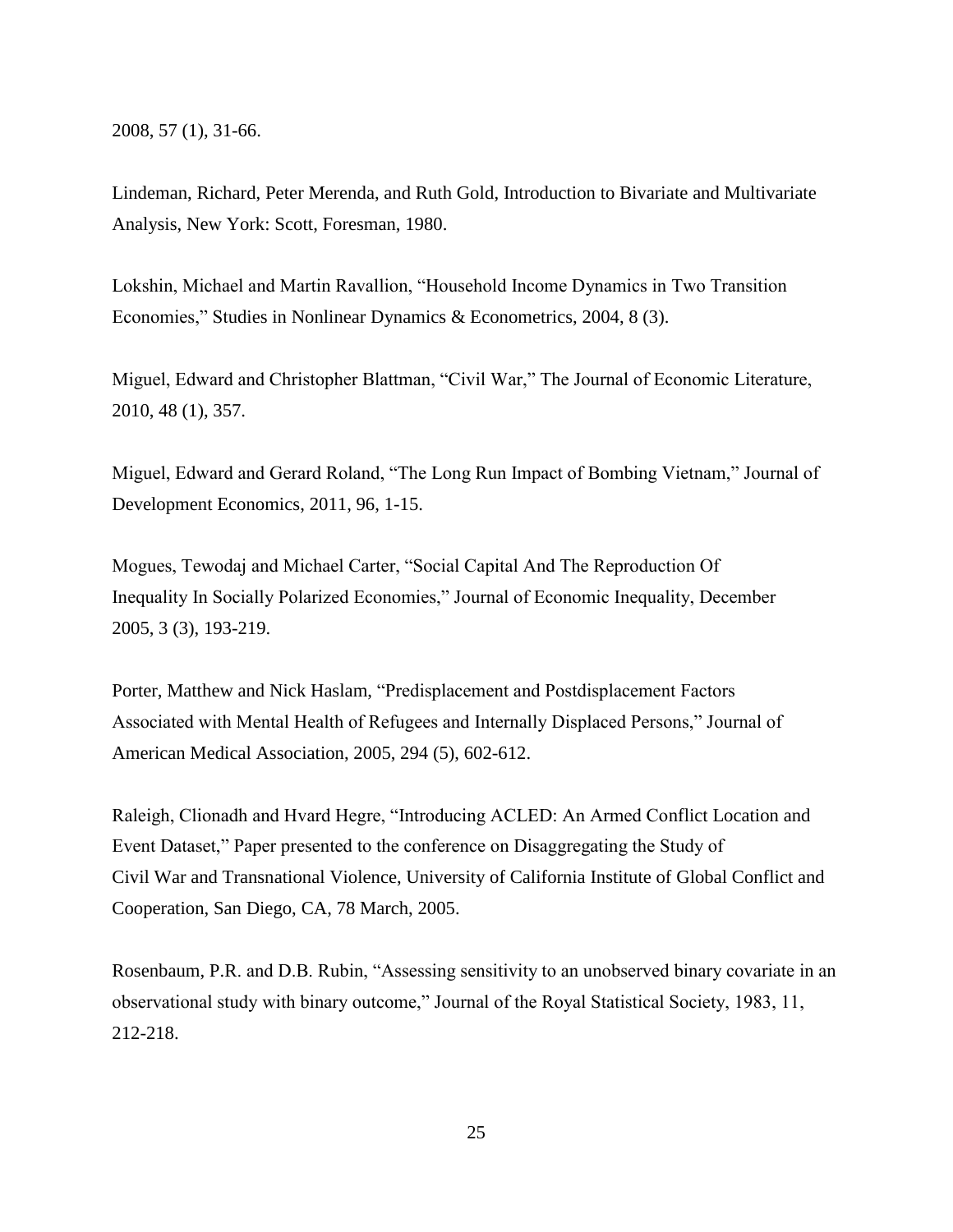2008, 57 (1), 31-66.

Lindeman, Richard, Peter Merenda, and Ruth Gold, Introduction to Bivariate and Multivariate Analysis, New York: Scott, Foresman, 1980.

Lokshin, Michael and Martin Ravallion, "Household Income Dynamics in Two Transition Economies," Studies in Nonlinear Dynamics & Econometrics, 2004, 8 (3).

Miguel, Edward and Christopher Blattman, "Civil War," The Journal of Economic Literature, 2010, 48 (1), 357.

Miguel, Edward and Gerard Roland, "The Long Run Impact of Bombing Vietnam," Journal of Development Economics, 2011, 96, 1-15.

Mogues, Tewodaj and Michael Carter, "Social Capital And The Reproduction Of Inequality In Socially Polarized Economies," Journal of Economic Inequality, December 2005, 3 (3), 193-219.

Porter, Matthew and Nick Haslam, "Predisplacement and Postdisplacement Factors Associated with Mental Health of Refugees and Internally Displaced Persons," Journal of American Medical Association, 2005, 294 (5), 602-612.

Raleigh, Clionadh and Hvard Hegre, "Introducing ACLED: An Armed Conflict Location and Event Dataset," Paper presented to the conference on Disaggregating the Study of Civil War and Transnational Violence, University of California Institute of Global Conflict and Cooperation, San Diego, CA, 78 March, 2005.

Rosenbaum, P.R. and D.B. Rubin, "Assessing sensitivity to an unobserved binary covariate in an observational study with binary outcome," Journal of the Royal Statistical Society, 1983, 11, 212-218.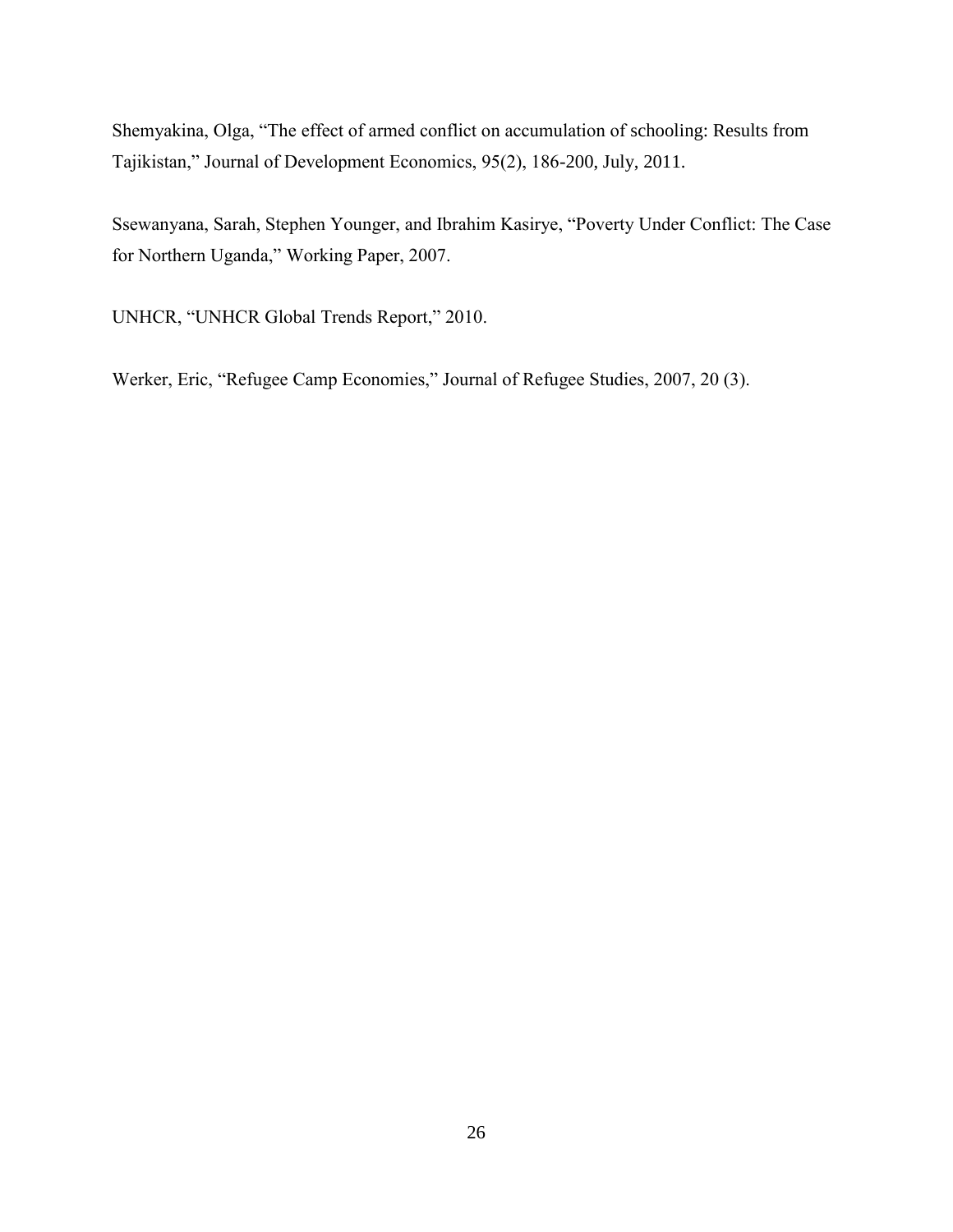Shemyakina, Olga, "The effect of armed conflict on accumulation of schooling: Results from Tajikistan," Journal of Development Economics, 95(2), 186-200, July, 2011.

Ssewanyana, Sarah, Stephen Younger, and Ibrahim Kasirye, "Poverty Under Conflict: The Case for Northern Uganda," Working Paper, 2007.

UNHCR, "UNHCR Global Trends Report," 2010.

Werker, Eric, "Refugee Camp Economies," Journal of Refugee Studies, 2007, 20 (3).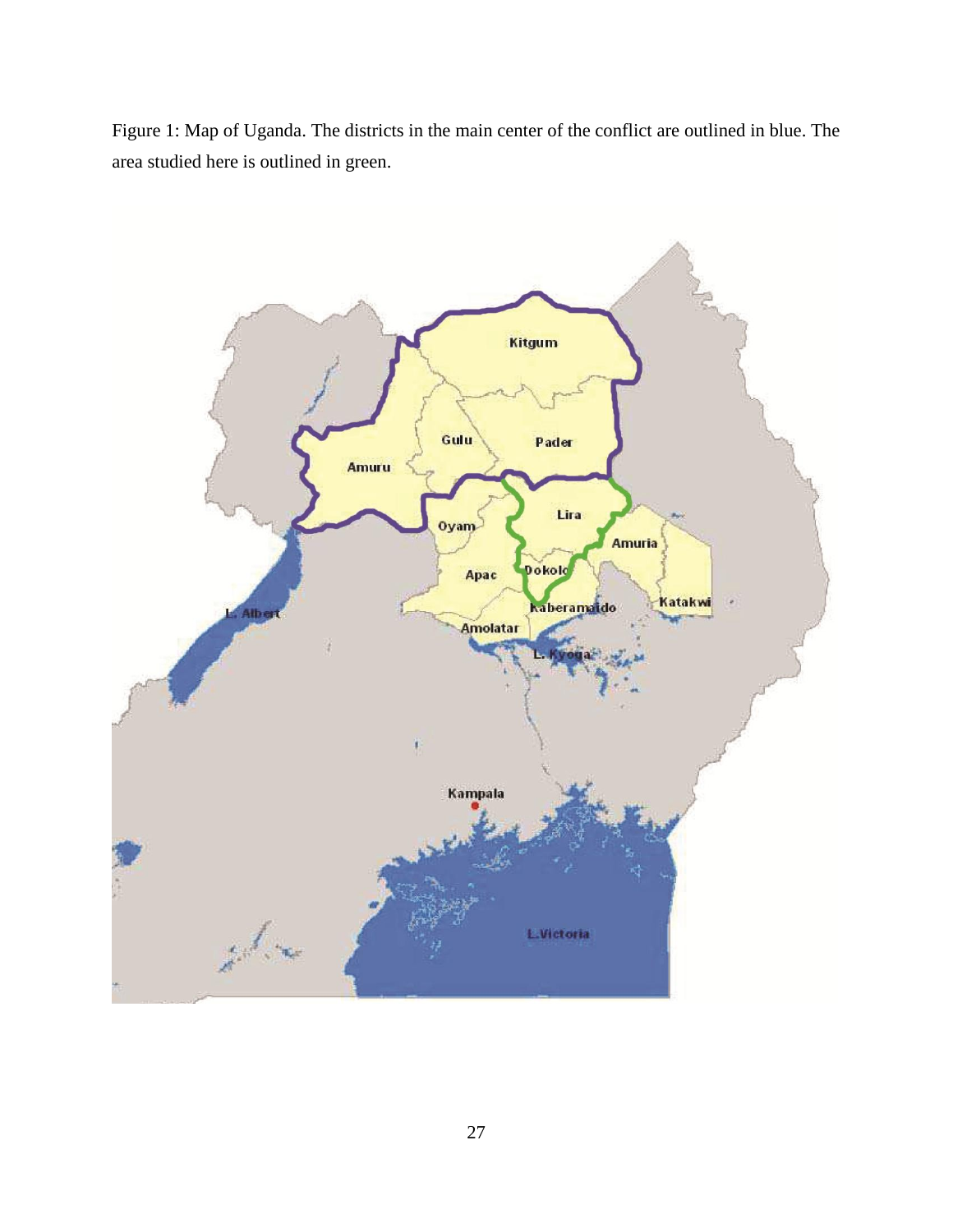Figure 1: Map of Uganda. The districts in the main center of the conflict are outlined in blue. The area studied here is outlined in green.

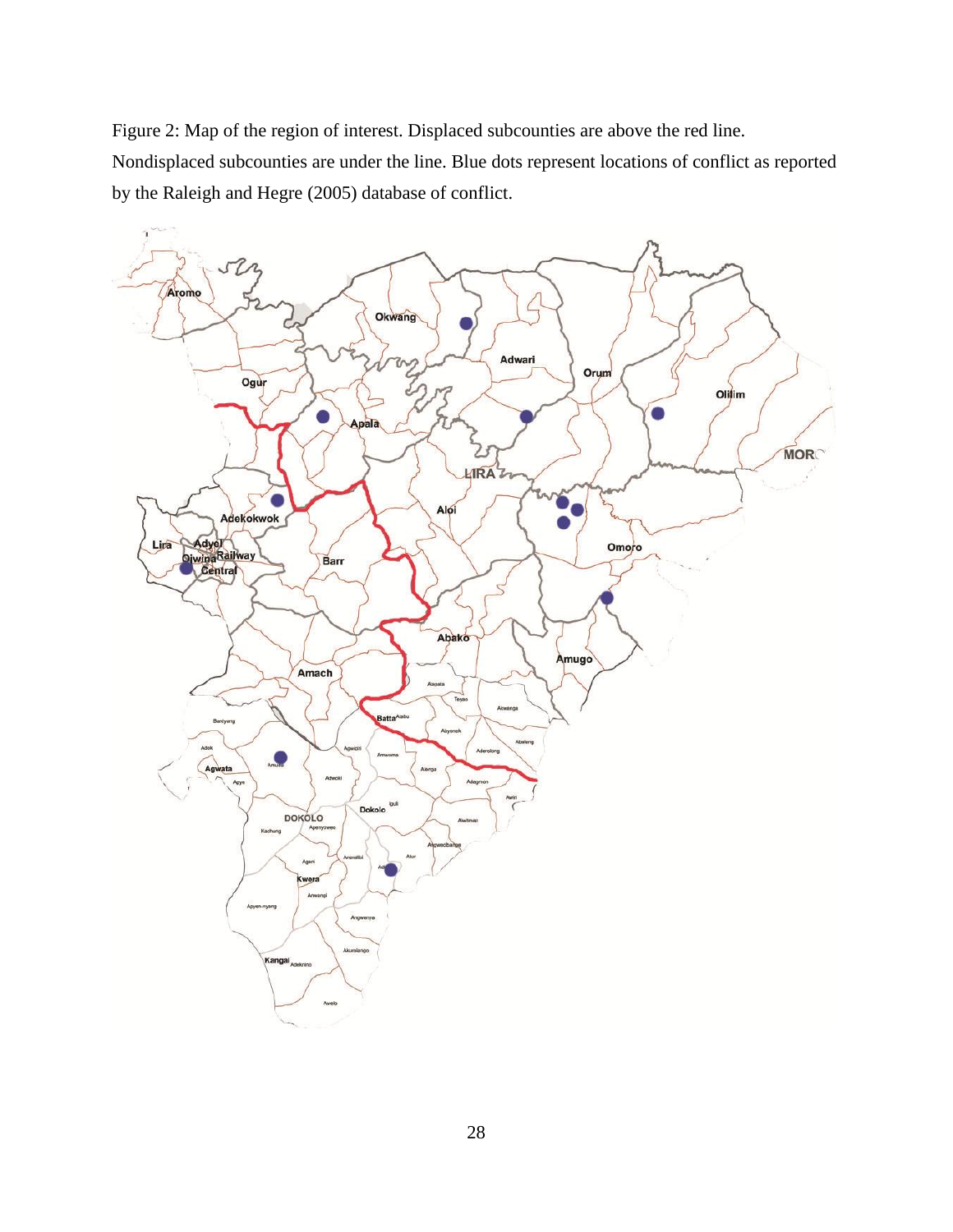Figure 2: Map of the region of interest. Displaced subcounties are above the red line. Nondisplaced subcounties are under the line. Blue dots represent locations of conflict as reported by the Raleigh and Hegre (2005) database of conflict.

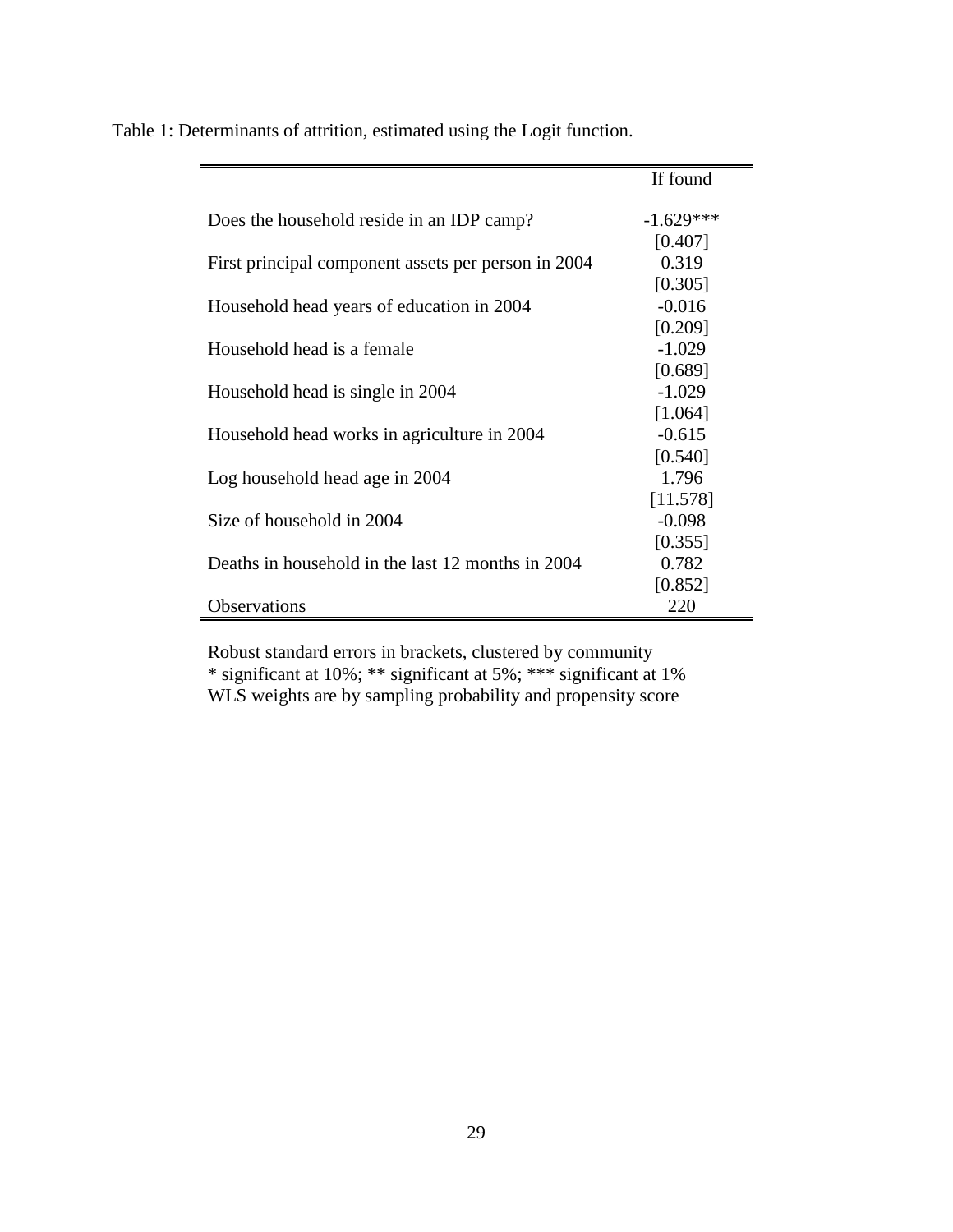|                                                     | If found    |
|-----------------------------------------------------|-------------|
| Does the household reside in an IDP camp?           | $-1.629***$ |
|                                                     | [0.407]     |
| First principal component assets per person in 2004 | 0.319       |
|                                                     | [0.305]     |
| Household head years of education in 2004           | $-0.016$    |
|                                                     | [0.209]     |
| Household head is a female                          | $-1.029$    |
|                                                     | [0.689]     |
| Household head is single in 2004                    | $-1.029$    |
|                                                     | [1.064]     |
| Household head works in agriculture in 2004         | $-0.615$    |
|                                                     | [0.540]     |
| Log household head age in 2004                      | 1.796       |
|                                                     | [11.578]    |
| Size of household in 2004                           | $-0.098$    |
|                                                     | [0.355]     |
| Deaths in household in the last 12 months in 2004   | 0.782       |
|                                                     | [0.852]     |
| <b>Observations</b>                                 | 220         |

Table 1: Determinants of attrition, estimated using the Logit function.

Robust standard errors in brackets, clustered by community \* significant at 10%; \*\* significant at 5%; \*\*\* significant at 1% WLS weights are by sampling probability and propensity score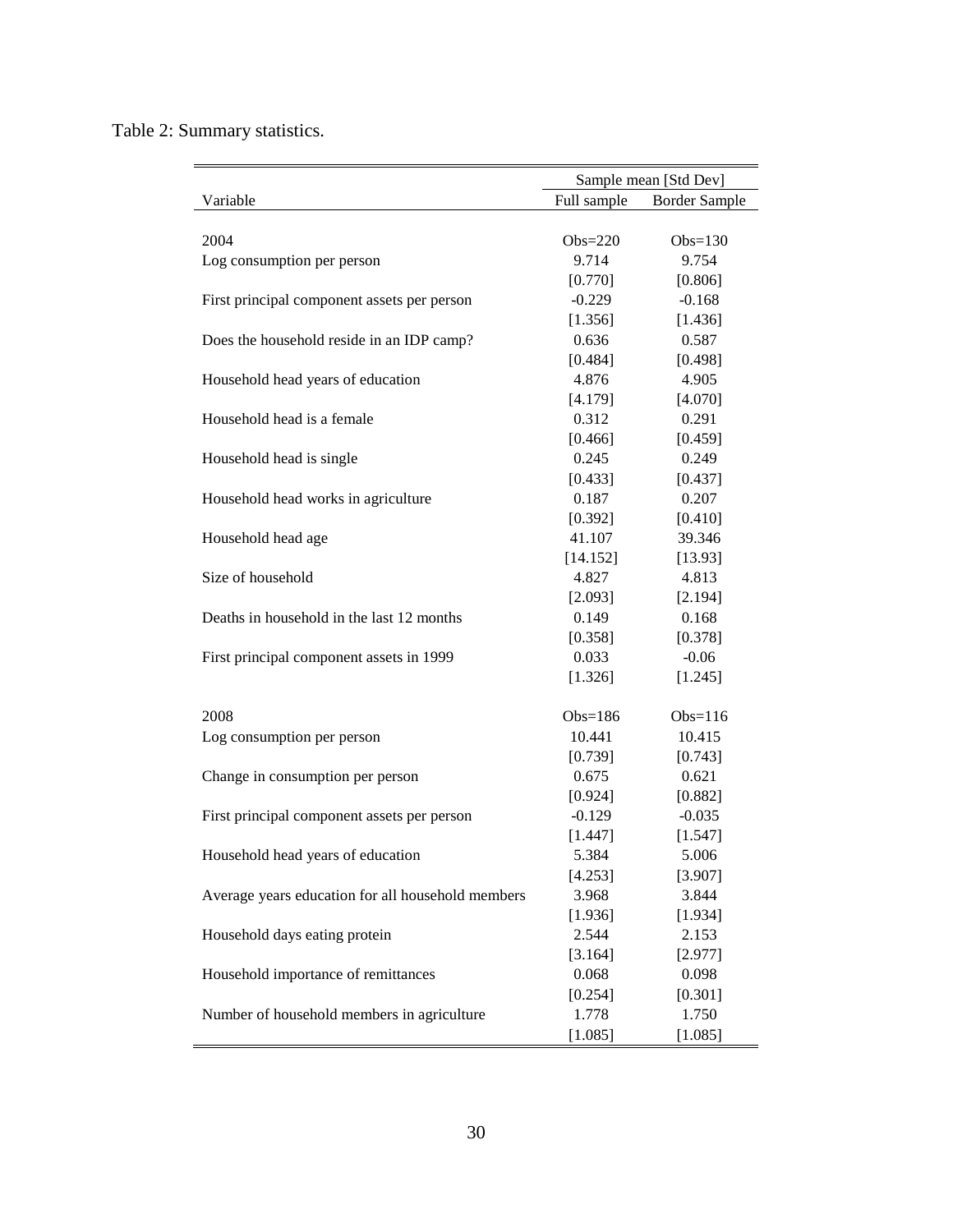Table 2: Summary statistics.

|                                                   | Sample mean [Std Dev]               |            |  |  |
|---------------------------------------------------|-------------------------------------|------------|--|--|
| Variable                                          | Full sample<br><b>Border Sample</b> |            |  |  |
|                                                   |                                     |            |  |  |
| 2004                                              | $Obs=220$                           | Obs= $130$ |  |  |
| Log consumption per person                        | 9.714                               | 9.754      |  |  |
|                                                   | [0.770]                             | [0.806]    |  |  |
| First principal component assets per person       | $-0.229$                            | $-0.168$   |  |  |
|                                                   | [1.356]                             | [1.436]    |  |  |
| Does the household reside in an IDP camp?         | 0.636                               | 0.587      |  |  |
|                                                   | [0.484]                             | [0.498]    |  |  |
| Household head years of education                 | 4.876                               | 4.905      |  |  |
|                                                   | [4.179]                             | [4.070]    |  |  |
| Household head is a female                        | 0.312                               | 0.291      |  |  |
|                                                   | [0.466]                             | [0.459]    |  |  |
| Household head is single                          | 0.245                               | 0.249      |  |  |
|                                                   | [0.433]                             | [0.437]    |  |  |
| Household head works in agriculture               | 0.187                               | 0.207      |  |  |
|                                                   | [0.392]                             | [0.410]    |  |  |
| Household head age                                | 41.107                              | 39.346     |  |  |
|                                                   | [14.152]                            | [13.93]    |  |  |
| Size of household                                 | 4.827                               | 4.813      |  |  |
|                                                   | [2.093]                             | [2.194]    |  |  |
| Deaths in household in the last 12 months         | 0.149                               | 0.168      |  |  |
|                                                   | [0.358]                             | [0.378]    |  |  |
| First principal component assets in 1999          | 0.033                               | $-0.06$    |  |  |
|                                                   | [1.326]                             | [1.245]    |  |  |
|                                                   |                                     |            |  |  |
| 2008                                              | $Obs=186$                           | Obs= $116$ |  |  |
| Log consumption per person                        | 10.441                              | 10.415     |  |  |
|                                                   | [0.739]                             | [0.743]    |  |  |
| Change in consumption per person                  | 0.675                               | 0.621      |  |  |
|                                                   | [0.924]                             | [0.882]    |  |  |
| First principal component assets per person       | $-0.129$                            | $-0.035$   |  |  |
|                                                   | [1.447]                             | [1.547]    |  |  |
| Household head years of education                 | 5.384                               | 5.006      |  |  |
|                                                   | [4.253]                             | [3.907]    |  |  |
| Average years education for all household members | 3.968                               | 3.844      |  |  |
|                                                   | [1.936]                             | [1.934]    |  |  |
| Household days eating protein                     | 2.544                               | 2.153      |  |  |
|                                                   | [3.164]                             | [2.977]    |  |  |
| Household importance of remittances               | 0.068                               | 0.098      |  |  |
|                                                   | [0.254]                             | [0.301]    |  |  |
| Number of household members in agriculture        | 1.778                               | 1.750      |  |  |
|                                                   | [1.085]                             | [1.085]    |  |  |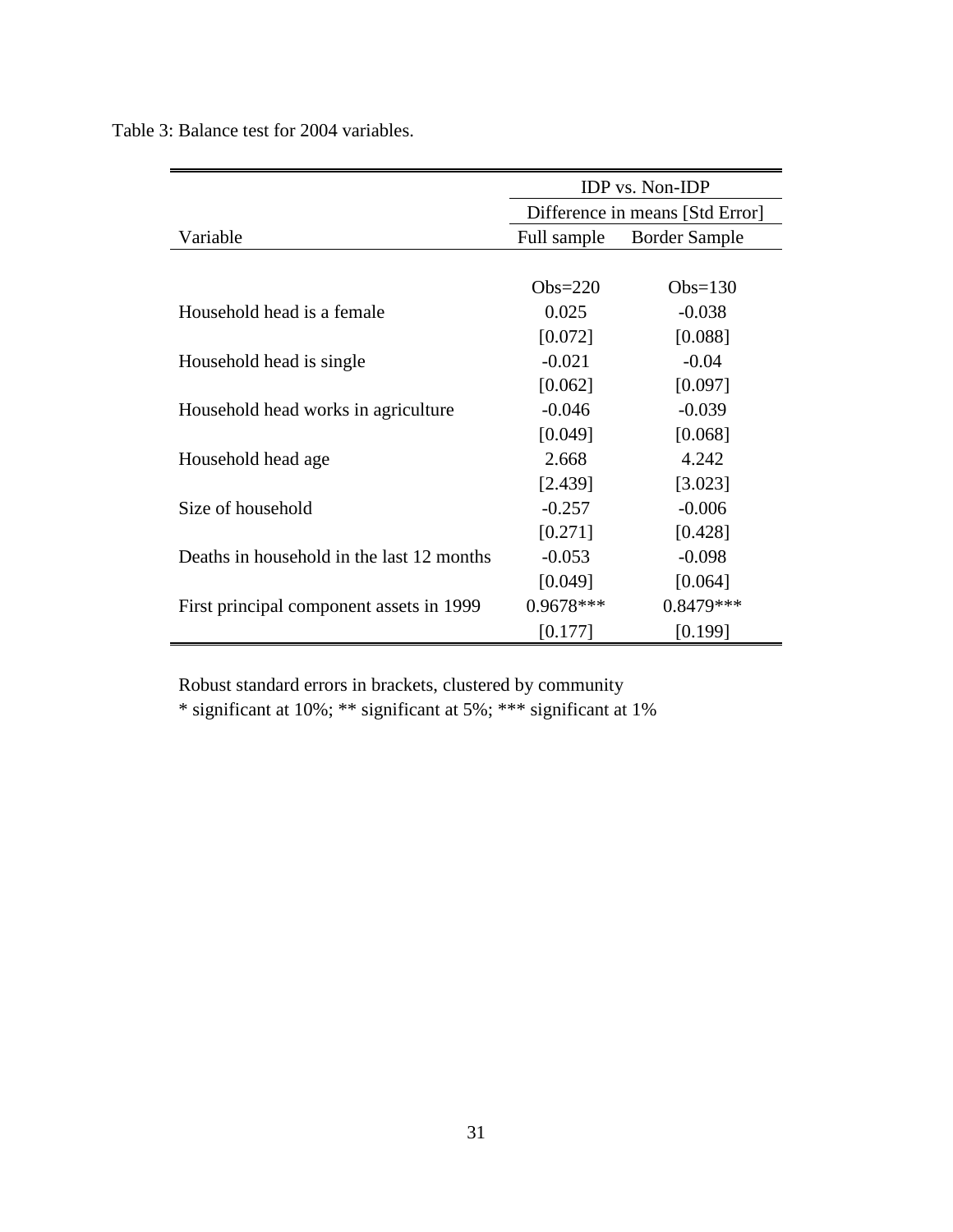Table 3: Balance test for 2004 variables.

|                                           | <b>IDP</b> vs. Non- <b>IDP</b>  |                      |  |  |  |
|-------------------------------------------|---------------------------------|----------------------|--|--|--|
|                                           | Difference in means [Std Error] |                      |  |  |  |
| Variable                                  | Full sample                     | <b>Border Sample</b> |  |  |  |
|                                           |                                 |                      |  |  |  |
|                                           | $Obs=220$                       | $Obs=130$            |  |  |  |
| Household head is a female                | 0.025                           | $-0.038$             |  |  |  |
|                                           | [0.072]                         | [0.088]              |  |  |  |
| Household head is single                  | $-0.021$                        | $-0.04$              |  |  |  |
|                                           | [0.062]                         | [0.097]              |  |  |  |
| Household head works in agriculture       | $-0.046$                        | $-0.039$             |  |  |  |
|                                           | [0.049]                         | [0.068]              |  |  |  |
| Household head age                        | 2.668                           | 4.242                |  |  |  |
|                                           | [2.439]                         | [3.023]              |  |  |  |
| Size of household                         | $-0.257$                        | $-0.006$             |  |  |  |
|                                           | [0.271]                         | [0.428]              |  |  |  |
| Deaths in household in the last 12 months | $-0.053$                        | $-0.098$             |  |  |  |
|                                           | [0.049]                         | [0.064]              |  |  |  |
| First principal component assets in 1999  | $0.9678***$                     | $0.8479***$          |  |  |  |
|                                           | [0.177]                         | [0.199]              |  |  |  |

Robust standard errors in brackets, clustered by community

\* significant at 10%; \*\* significant at 5%; \*\*\* significant at 1%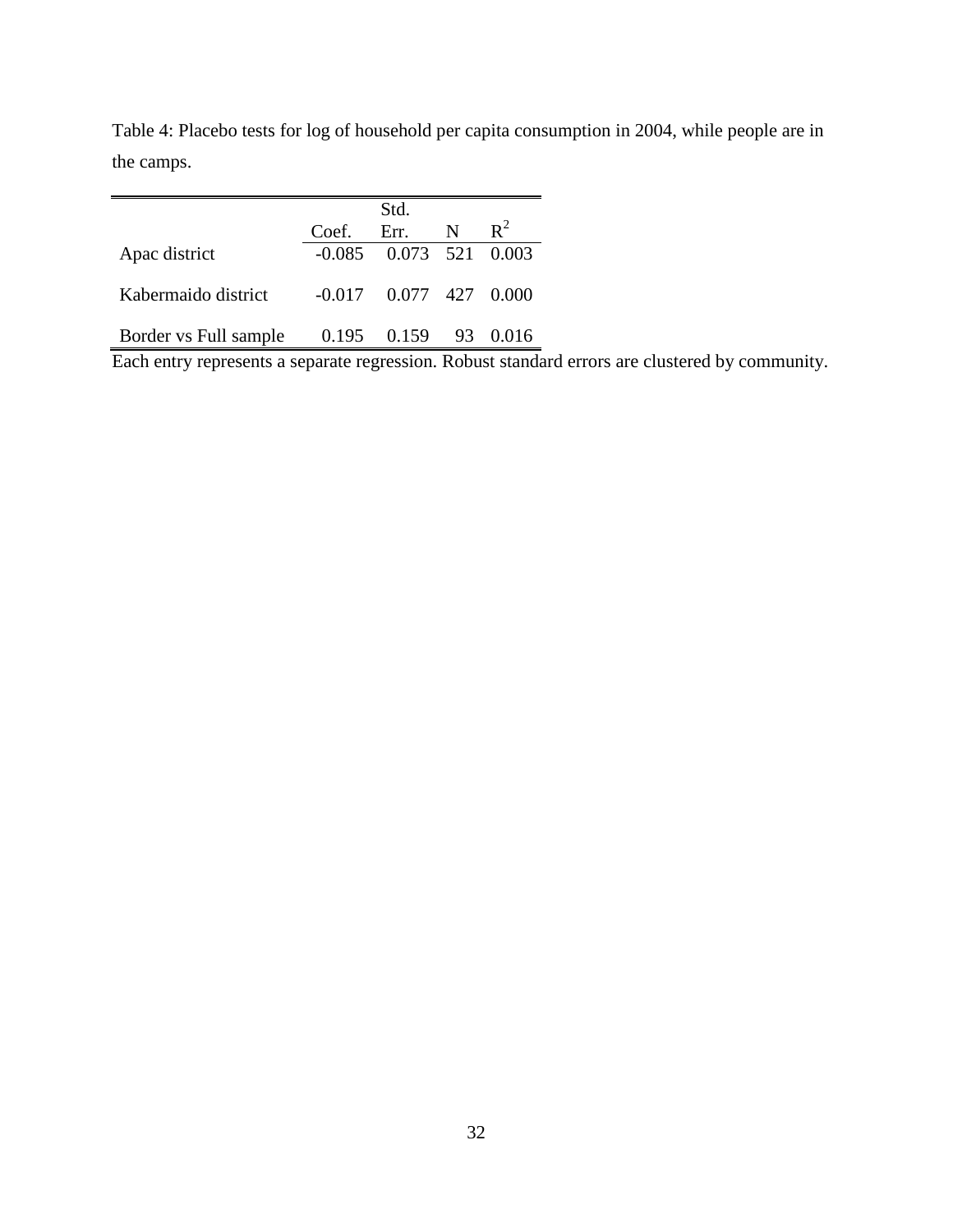|                       |       | Std.                           |   |                |  |
|-----------------------|-------|--------------------------------|---|----------------|--|
|                       | Coef. | Err.                           | N | $\mathbb{R}^2$ |  |
| Apac district         |       | $-0.085$ $0.073$ $521$ $0.003$ |   |                |  |
| Kabermaido district   |       | $-0.017$ 0.077 427 0.000       |   |                |  |
| Border vs Full sample |       | 0.195 0.159 93 0.016           |   |                |  |

Table 4: Placebo tests for log of household per capita consumption in 2004, while people are in the camps.

Each entry represents a separate regression. Robust standard errors are clustered by community.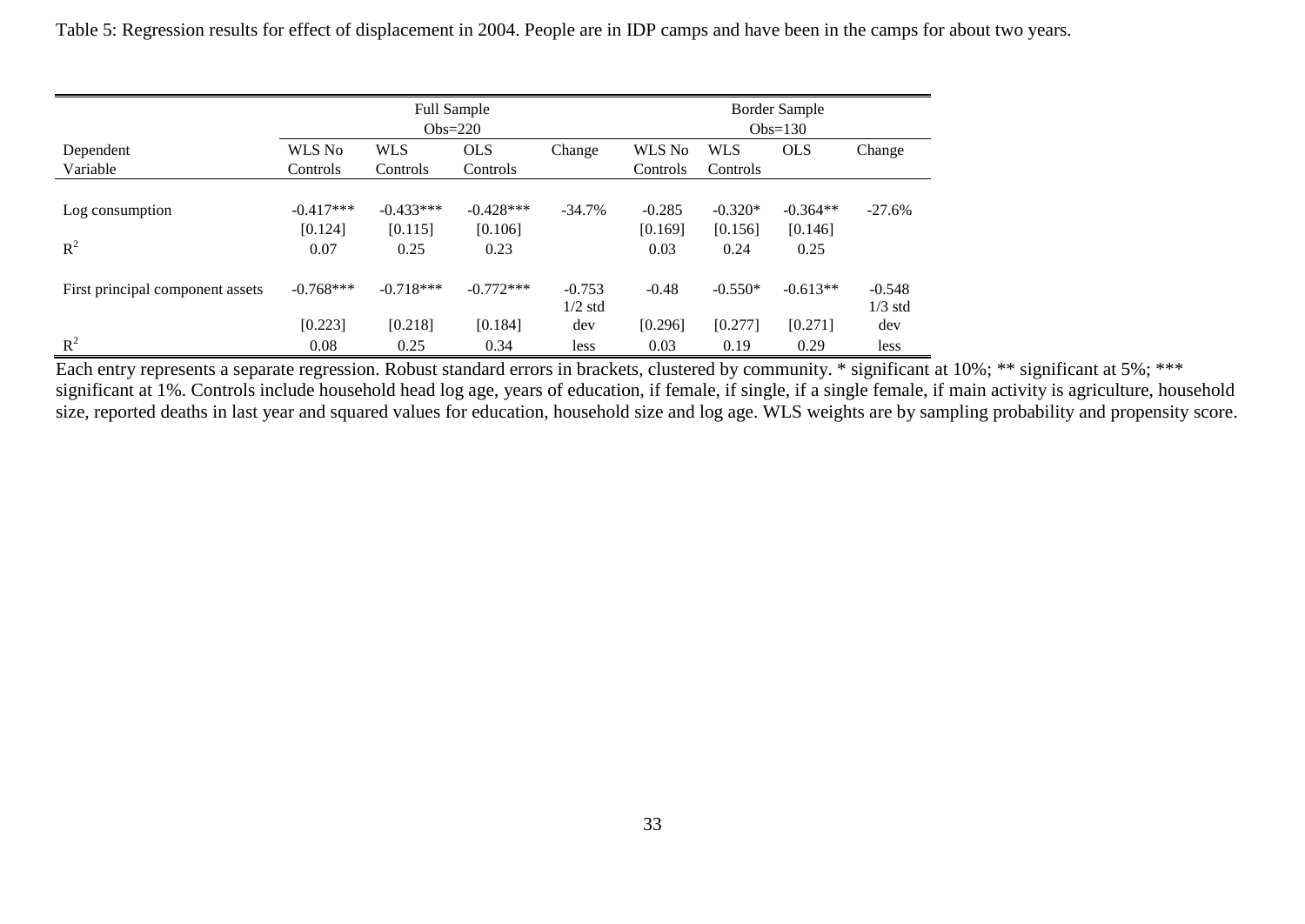|                                  |                                | <b>Border Sample</b><br>$Obs=130$ |                                |                       |                             |                              |                               |                       |
|----------------------------------|--------------------------------|-----------------------------------|--------------------------------|-----------------------|-----------------------------|------------------------------|-------------------------------|-----------------------|
| Dependent<br>Variable            | WLS No<br>Controls             | <b>WLS</b><br>Controls            | <b>OLS</b><br>Controls         | Change                | WLS No<br>Controls          | <b>WLS</b><br>Controls       | <b>OLS</b>                    | Change                |
| Log consumption<br>$R^2$         | $-0.417***$<br>[0.124]<br>0.07 | $-0.433***$<br>[0.115]<br>0.25    | $-0.428***$<br>[0.106]<br>0.23 | $-34.7%$              | $-0.285$<br>[0.169]<br>0.03 | $-0.320*$<br>[0.156]<br>0.24 | $-0.364**$<br>[0.146]<br>0.25 | $-27.6%$              |
| First principal component assets | $-0.768***$                    | $-0.718***$                       | $-0.772***$                    | $-0.753$<br>$1/2$ std | $-0.48$                     | $-0.550*$                    | $-0.613**$                    | $-0.548$<br>$1/3$ std |
| $R^2$                            | [0.223]<br>0.08                | [0.218]<br>0.25                   | [0.184]<br>0.34                | dev<br>less           | [0.296]<br>0.03             | [0.277]<br>0.19              | [0.271]<br>0.29               | dev<br>less           |

Table 5: Regression results for effect of displacement in 2004. People are in IDP camps and have been in the camps for about two years.

Each entry represents a separate regression. Robust standard errors in brackets, clustered by community. \* significant at 10%; \*\* significant at 5%; \*\*\* significant at 1%. Controls include household head log age, years of education, if female, if single, if a single female, if main activity is agriculture, household size, reported deaths in last year and squared values for education, household size and log age. WLS weights are by sampling probability and propensity score.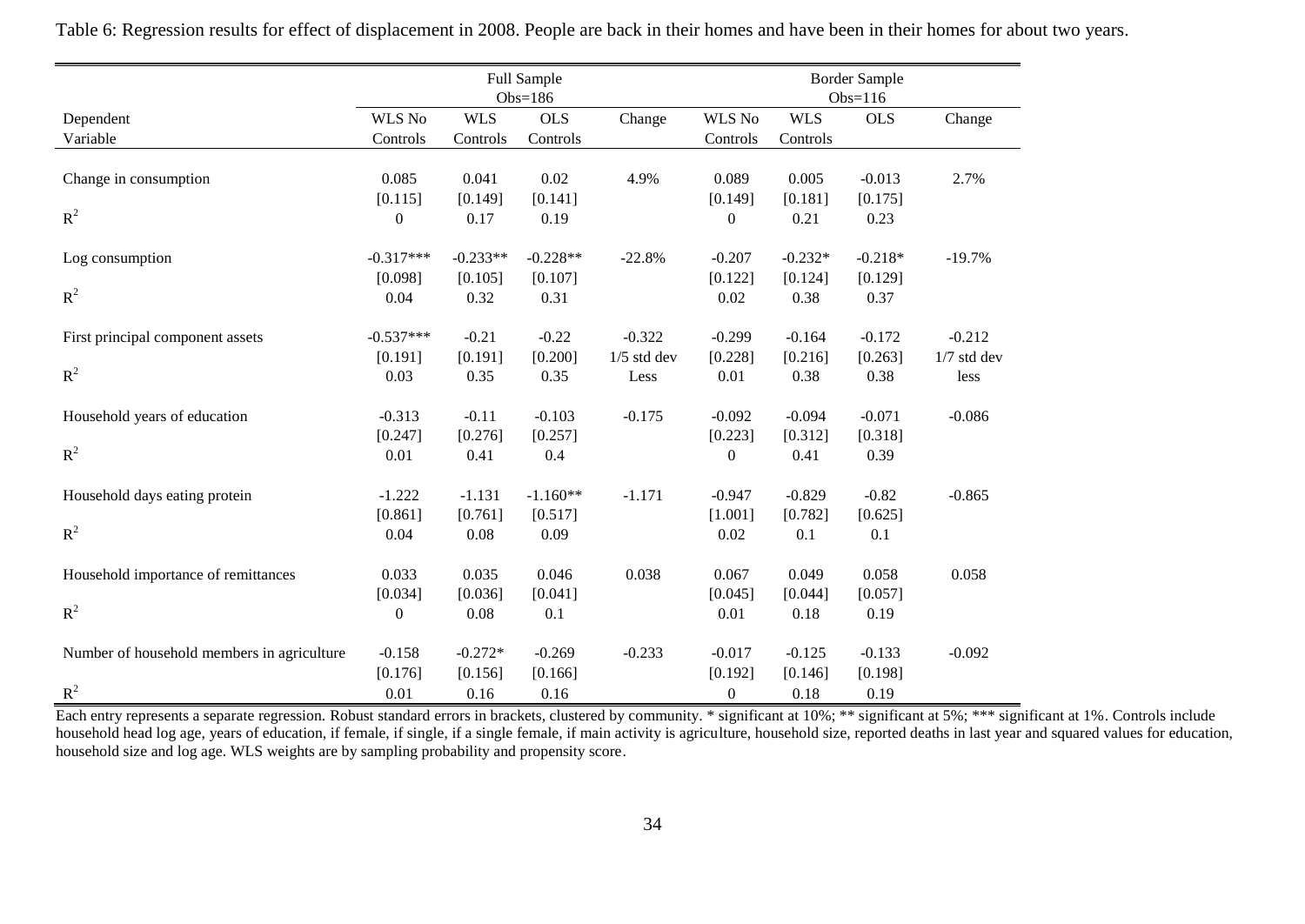|                                            | Full Sample<br>$Obs=186$ |            |            |               | <b>Border Sample</b><br>$Obs=116$ |            |                 |               |
|--------------------------------------------|--------------------------|------------|------------|---------------|-----------------------------------|------------|-----------------|---------------|
| Dependent                                  | <b>WLS No</b>            | <b>WLS</b> | <b>OLS</b> | Change        | <b>WLS No</b>                     | <b>WLS</b> | <b>OLS</b>      | Change        |
| Variable                                   | Controls                 | Controls   | Controls   |               | Controls                          | Controls   |                 |               |
|                                            |                          |            |            |               |                                   |            |                 |               |
| Change in consumption                      | 0.085                    | 0.041      | 0.02       | 4.9%          | 0.089                             | 0.005      | $-0.013$        | 2.7%          |
|                                            | [0.115]                  | [0.149]    | [0.141]    |               | [0.149]                           | [0.181]    | [0.175]         |               |
| $R^2$                                      | $\overline{0}$           | 0.17       | 0.19       |               | $\boldsymbol{0}$                  | 0.21       | 0.23            |               |
|                                            | $-0.317***$              | $-0.233**$ | $-0.228**$ | $-22.8%$      | $-0.207$                          | $-0.232*$  | $-0.218*$       |               |
| Log consumption                            | [0.098]                  | [0.105]    | [0.107]    |               | [0.122]                           | [0.124]    |                 | $-19.7%$      |
| $R^2$                                      | 0.04                     | 0.32       | 0.31       |               | 0.02                              | 0.38       | [0.129]<br>0.37 |               |
|                                            |                          |            |            |               |                                   |            |                 |               |
| First principal component assets           | $-0.537***$              | $-0.21$    | $-0.22$    | $-0.322$      | $-0.299$                          | $-0.164$   | $-0.172$        | $-0.212$      |
|                                            | [0.191]                  | [0.191]    | [0.200]    | $1/5$ std dev | [0.228]                           | [0.216]    | [0.263]         | $1/7$ std dev |
| $R^2$                                      | 0.03                     | 0.35       | 0.35       | Less          | 0.01                              | 0.38       | 0.38            | less          |
| Household years of education               | $-0.313$                 | $-0.11$    | $-0.103$   | $-0.175$      | $-0.092$                          | $-0.094$   | $-0.071$        | $-0.086$      |
|                                            | [0.247]                  | [0.276]    | [0.257]    |               | [0.223]                           | [0.312]    | [0.318]         |               |
| $R^2$                                      | 0.01                     | 0.41       | 0.4        |               | $\boldsymbol{0}$                  | 0.41       | 0.39            |               |
|                                            |                          |            |            |               |                                   |            |                 |               |
| Household days eating protein              | $-1.222$                 | $-1.131$   | $-1.160**$ | $-1.171$      | $-0.947$                          | $-0.829$   | $-0.82$         | $-0.865$      |
|                                            | [0.861]                  | [0.761]    | [0.517]    |               | [1.001]                           | [0.782]    | [0.625]         |               |
| $R^2$                                      | 0.04                     | 0.08       | 0.09       |               | 0.02                              | 0.1        | 0.1             |               |
| Household importance of remittances        | 0.033                    | 0.035      | 0.046      | 0.038         | 0.067                             | 0.049      | 0.058           | 0.058         |
|                                            | [0.034]                  | [0.036]    | [0.041]    |               | [0.045]                           | [0.044]    | [0.057]         |               |
| $R^2$                                      | $\boldsymbol{0}$         | 0.08       | 0.1        |               | 0.01                              | 0.18       | 0.19            |               |
|                                            |                          |            |            |               |                                   |            |                 |               |
| Number of household members in agriculture | $-0.158$                 | $-0.272*$  | $-0.269$   | $-0.233$      | $-0.017$                          | $-0.125$   | $-0.133$        | $-0.092$      |
|                                            | [0.176]                  | [0.156]    | [0.166]    |               | [0.192]                           | [0.146]    | [0.198]         |               |
| $R^2$                                      | 0.01                     | 0.16       | 0.16       |               | $\boldsymbol{0}$                  | 0.18       | 0.19            |               |

Table 6: Regression results for effect of displacement in 2008. People are back in their homes and have been in their homes for about two years.

Each entry represents a separate regression. Robust standard errors in brackets, clustered by community. \* significant at 10%; \*\* significant at 5%; \*\*\* significant at 1%. Controls include household head log age, years of education, if female, if single, if a single female, if main activity is agriculture, household size, reported deaths in last year and squared values for education, household size and log age. WLS weights are by sampling probability and propensity score.